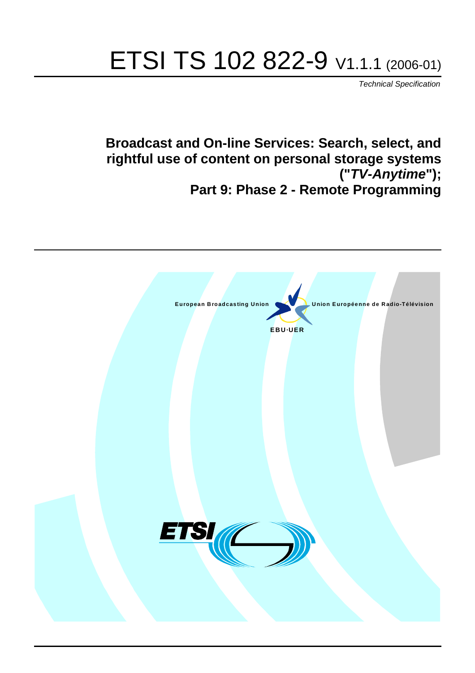# ETSI TS 102 822-9 V1.1.1 (2006-01)

Technical Specification

**Broadcast and On-line Services: Search, select, and rightful use of content on personal storage systems ("TV-Anytime"); Part 9: Phase 2 - Remote Programming**

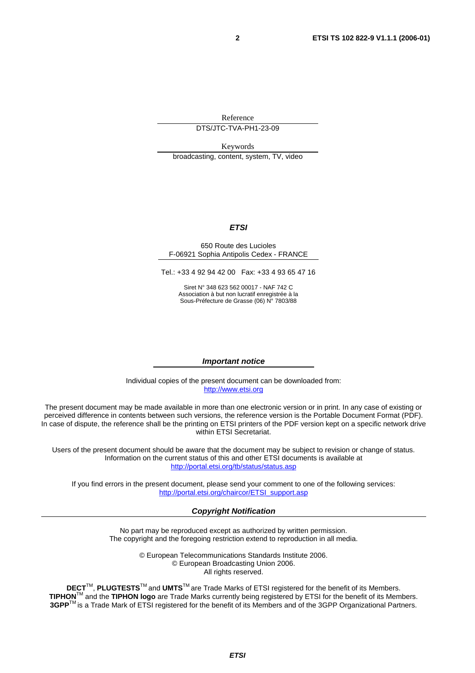Reference

DTS/JTC-TVA-PH1-23-09

Keywords broadcasting, content, system, TV, video

#### **ETSI**

#### 650 Route des Lucioles F-06921 Sophia Antipolis Cedex - FRANCE

Tel.: +33 4 92 94 42 00 Fax: +33 4 93 65 47 16

Siret N° 348 623 562 00017 - NAF 742 C Association à but non lucratif enregistrée à la Sous-Préfecture de Grasse (06) N° 7803/88

#### **Important notice**

Individual copies of the present document can be downloaded from: [http://www.etsi.org](http://www.etsi.org/)

The present document may be made available in more than one electronic version or in print. In any case of existing or perceived difference in contents between such versions, the reference version is the Portable Document Format (PDF). In case of dispute, the reference shall be the printing on ETSI printers of the PDF version kept on a specific network drive within ETSI Secretariat.

Users of the present document should be aware that the document may be subject to revision or change of status. Information on the current status of this and other ETSI documents is available at <http://portal.etsi.org/tb/status/status.asp>

If you find errors in the present document, please send your comment to one of the following services: [http://portal.etsi.org/chaircor/ETSI\\_support.asp](http://portal.etsi.org/chaircor/ETSI_support.asp)

#### **Copyright Notification**

No part may be reproduced except as authorized by written permission. The copyright and the foregoing restriction extend to reproduction in all media.

> © European Telecommunications Standards Institute 2006. © European Broadcasting Union 2006. All rights reserved.

**DECT**TM, **PLUGTESTS**TM and **UMTS**TM are Trade Marks of ETSI registered for the benefit of its Members. **TIPHON**TM and the **TIPHON logo** are Trade Marks currently being registered by ETSI for the benefit of its Members. **3GPP**TM is a Trade Mark of ETSI registered for the benefit of its Members and of the 3GPP Organizational Partners.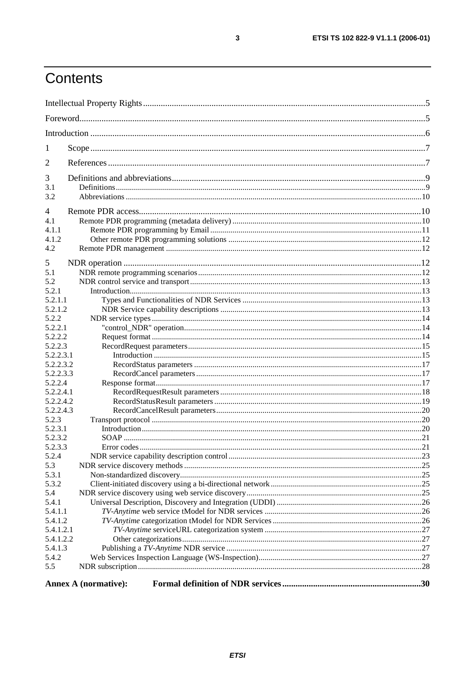## Contents

| 1                  |                             |  |
|--------------------|-----------------------------|--|
| 2                  |                             |  |
| 3                  |                             |  |
| 3.1                |                             |  |
| 3.2                |                             |  |
| 4                  |                             |  |
| 4.1                |                             |  |
| 4.1.1              |                             |  |
| 4.1.2              |                             |  |
| 4.2                |                             |  |
| 5                  |                             |  |
| 5.1                |                             |  |
| 5.2                |                             |  |
| 5.2.1              |                             |  |
| 5.2.1.1            |                             |  |
| 5.2.1.2            |                             |  |
| 5.2.2              |                             |  |
| 5.2.2.1            |                             |  |
| 5.2.2.2            |                             |  |
| 5.2.2.3            |                             |  |
| 5.2.2.3.1          |                             |  |
| 5.2.2.3.2          |                             |  |
| 5.2.2.3.3          |                             |  |
| 5.2.2.4            |                             |  |
| 5.2.2.4.1          |                             |  |
| 5.2.2.4.2          |                             |  |
| 5.2.2.4.3          |                             |  |
| 5.2.3              |                             |  |
| 5.2.3.1<br>5.2.3.2 |                             |  |
| 5.2.3.3            |                             |  |
| 5.2.4              |                             |  |
| 5.3                |                             |  |
| 5.3.1              |                             |  |
| 5.3.2              |                             |  |
| 5.4                |                             |  |
| 5.4.1              |                             |  |
| 5.4.1.1            |                             |  |
| 5.4.1.2            |                             |  |
| 5.4.1.2.1          |                             |  |
| 5.4.1.2.2          |                             |  |
| 5.4.1.3            |                             |  |
| 5.4.2              |                             |  |
| 5.5                |                             |  |
|                    |                             |  |
|                    | <b>Annex A (normative):</b> |  |

 $\mathbf{3}$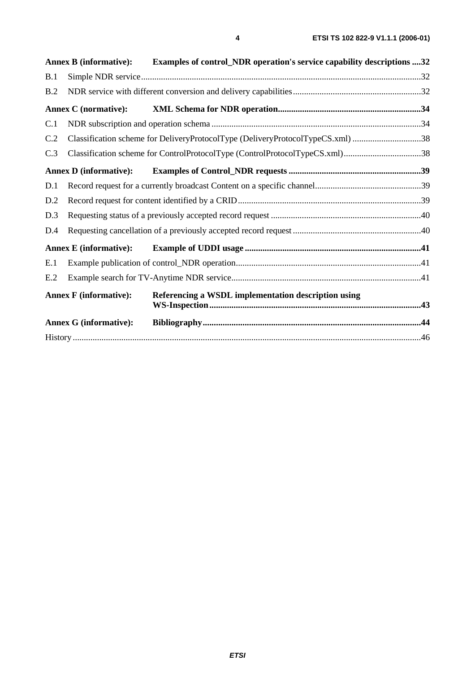|     | <b>Annex B (informative):</b> | Examples of control_NDR operation's service capability descriptions 32         |  |
|-----|-------------------------------|--------------------------------------------------------------------------------|--|
| B.1 |                               |                                                                                |  |
| B.2 |                               |                                                                                |  |
|     | <b>Annex C</b> (normative):   |                                                                                |  |
| C.1 |                               |                                                                                |  |
| C.2 |                               | Classification scheme for DeliveryProtocolType (DeliveryProtocolTypeCS.xml) 38 |  |
| C.3 |                               | Classification scheme for ControlProtocolType (ControlProtocolTypeCS.xml)38    |  |
|     | <b>Annex D</b> (informative): |                                                                                |  |
| D.1 |                               |                                                                                |  |
| D.2 |                               |                                                                                |  |
| D.3 |                               |                                                                                |  |
| D.4 |                               |                                                                                |  |
|     | <b>Annex E</b> (informative): |                                                                                |  |
| E.1 |                               |                                                                                |  |
| E.2 |                               |                                                                                |  |
|     | <b>Annex F</b> (informative): | Referencing a WSDL implementation description using                            |  |
|     | <b>Annex G (informative):</b> |                                                                                |  |
|     |                               |                                                                                |  |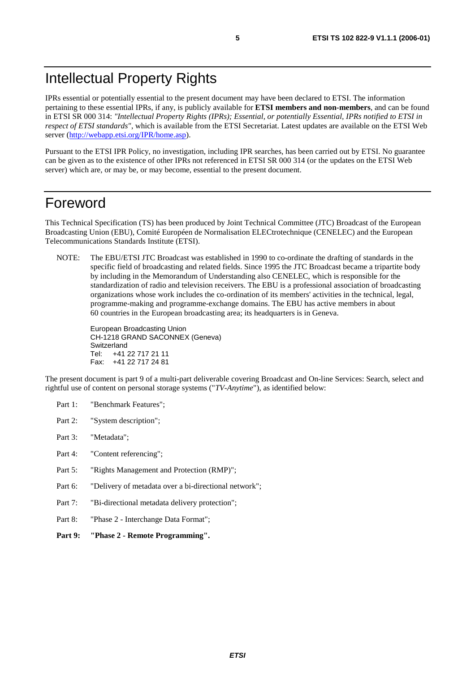### Intellectual Property Rights

IPRs essential or potentially essential to the present document may have been declared to ETSI. The information pertaining to these essential IPRs, if any, is publicly available for **ETSI members and non-members**, and can be found in ETSI SR 000 314: *"Intellectual Property Rights (IPRs); Essential, or potentially Essential, IPRs notified to ETSI in respect of ETSI standards"*, which is available from the ETSI Secretariat. Latest updates are available on the ETSI Web server [\(http://webapp.etsi.org/IPR/home.asp\)](http://webapp.etsi.org/IPR/home.asp).

Pursuant to the ETSI IPR Policy, no investigation, including IPR searches, has been carried out by ETSI. No guarantee can be given as to the existence of other IPRs not referenced in ETSI SR 000 314 (or the updates on the ETSI Web server) which are, or may be, or may become, essential to the present document.

### Foreword

This Technical Specification (TS) has been produced by Joint Technical Committee (JTC) Broadcast of the European Broadcasting Union (EBU), Comité Européen de Normalisation ELECtrotechnique (CENELEC) and the European Telecommunications Standards Institute (ETSI).

NOTE: The EBU/ETSI JTC Broadcast was established in 1990 to co-ordinate the drafting of standards in the specific field of broadcasting and related fields. Since 1995 the JTC Broadcast became a tripartite body by including in the Memorandum of Understanding also CENELEC, which is responsible for the standardization of radio and television receivers. The EBU is a professional association of broadcasting organizations whose work includes the co-ordination of its members' activities in the technical, legal, programme-making and programme-exchange domains. The EBU has active members in about 60 countries in the European broadcasting area; its headquarters is in Geneva.

European Broadcasting Union CH-1218 GRAND SACONNEX (Geneva) Switzerland Tel: +41 22 717 21 11 Fax: +41 22 717 24 81

The present document is part 9 of a multi-part deliverable covering Broadcast and On-line Services: Search, select and rightful use of content on personal storage systems ("*TV-Anytime*"), as identified below:

- Part 1: "Benchmark Features";
- Part 2: "System description";
- Part 3: "Metadata";
- Part 4: "Content referencing":
- Part 5: "Rights Management and Protection (RMP)";
- Part 6: "Delivery of metadata over a bi-directional network";
- Part 7: "Bi-directional metadata delivery protection";
- Part 8: "Phase 2 Interchange Data Format";
- **Part 9: "Phase 2 Remote Programming".**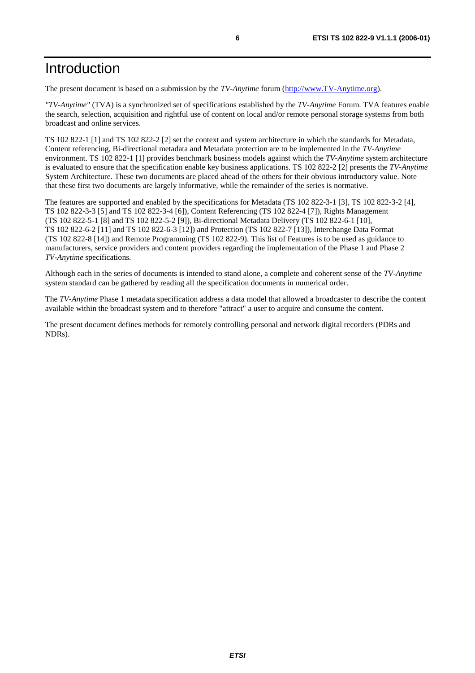### Introduction

The present document is based on a submission by the *TV-Anytime* forum ([http://www.TV-Anytime.org\)](http://www.tv-anytime.org/).

*"TV-Anytime"* (TVA) is a synchronized set of specifications established by the *TV-Anytime* Forum. TVA features enable the search, selection, acquisition and rightful use of content on local and/or remote personal storage systems from both broadcast and online services.

TS 102 822-1 [1] and TS 102 822-2 [2] set the context and system architecture in which the standards for Metadata, Content referencing, Bi-directional metadata and Metadata protection are to be implemented in the *TV-Anytime* environment. TS 102 822-1 [1] provides benchmark business models against which the *TV-Anytime* system architecture is evaluated to ensure that the specification enable key business applications. TS 102 822-2 [2] presents the *TV-Anytime* System Architecture. These two documents are placed ahead of the others for their obvious introductory value. Note that these first two documents are largely informative, while the remainder of the series is normative.

The features are supported and enabled by the specifications for Metadata (TS 102 822-3-1 [3], TS 102 822-3-2 [4], TS 102 822-3-3 [5] and TS 102 822-3-4 [6]), Content Referencing (TS 102 822-4 [7]), Rights Management (TS 102 822-5-1 [8] and TS 102 822-5-2 [9]), Bi-directional Metadata Delivery (TS 102 822-6-1 [10], TS 102 822-6-2 [11] and TS 102 822-6-3 [12]) and Protection (TS 102 822-7 [13]), Interchange Data Format (TS 102 822-8 [14]) and Remote Programming (TS 102 822-9). This list of Features is to be used as guidance to manufacturers, service providers and content providers regarding the implementation of the Phase 1 and Phase 2 *TV-Anytime* specifications.

Although each in the series of documents is intended to stand alone, a complete and coherent sense of the *TV-Anytime* system standard can be gathered by reading all the specification documents in numerical order.

The *TV-Anytime* Phase 1 metadata specification address a data model that allowed a broadcaster to describe the content available within the broadcast system and to therefore "attract" a user to acquire and consume the content.

The present document defines methods for remotely controlling personal and network digital recorders (PDRs and NDRs).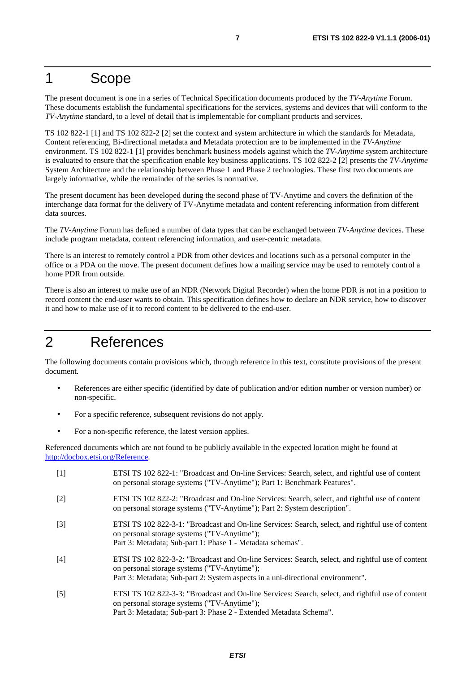### 1 Scope

The present document is one in a series of Technical Specification documents produced by the *TV-Anytime* Forum. These documents establish the fundamental specifications for the services, systems and devices that will conform to the *TV-Anytime* standard, to a level of detail that is implementable for compliant products and services.

TS 102 822-1 [1] and TS 102 822-2 [2] set the context and system architecture in which the standards for Metadata, Content referencing, Bi-directional metadata and Metadata protection are to be implemented in the *TV-Anytime* environment. TS 102 822-1 [1] provides benchmark business models against which the *TV-Anytime* system architecture is evaluated to ensure that the specification enable key business applications. TS 102 822-2 [2] presents the *TV-Anytime* System Architecture and the relationship between Phase 1 and Phase 2 technologies. These first two documents are largely informative, while the remainder of the series is normative.

The present document has been developed during the second phase of TV-Anytime and covers the definition of the interchange data format for the delivery of TV-Anytime metadata and content referencing information from different data sources.

The *TV-Anytime* Forum has defined a number of data types that can be exchanged between *TV-Anytime* devices. These include program metadata, content referencing information, and user-centric metadata.

There is an interest to remotely control a PDR from other devices and locations such as a personal computer in the office or a PDA on the move. The present document defines how a mailing service may be used to remotely control a home PDR from outside.

There is also an interest to make use of an NDR (Network Digital Recorder) when the home PDR is not in a position to record content the end-user wants to obtain. This specification defines how to declare an NDR service, how to discover it and how to make use of it to record content to be delivered to the end-user.

### 2 References

The following documents contain provisions which, through reference in this text, constitute provisions of the present document.

- References are either specific (identified by date of publication and/or edition number or version number) or non-specific.
- For a specific reference, subsequent revisions do not apply.
- For a non-specific reference, the latest version applies.

Referenced documents which are not found to be publicly available in the expected location might be found at <http://docbox.etsi.org/Reference>.

[1] ETSI TS 102 822-1: "Broadcast and On-line Services: Search, select, and rightful use of content on personal storage systems ("TV-Anytime"); Part 1: Benchmark Features". [2] ETSI TS 102 822-2: "Broadcast and On-line Services: Search, select, and rightful use of content on personal storage systems ("TV-Anytime"); Part 2: System description". [3] ETSI TS 102 822-3-1: "Broadcast and On-line Services: Search, select, and rightful use of content on personal storage systems ("TV-Anytime"); Part 3: Metadata; Sub-part 1: Phase 1 - Metadata schemas". [4] ETSI TS 102 822-3-2: "Broadcast and On-line Services: Search, select, and rightful use of content on personal storage systems ("TV-Anytime"); Part 3: Metadata; Sub-part 2: System aspects in a uni-directional environment". [5] ETSI TS 102 822-3-3: "Broadcast and On-line Services: Search, select, and rightful use of content on personal storage systems ("TV-Anytime"); Part 3: Metadata; Sub-part 3: Phase 2 - Extended Metadata Schema".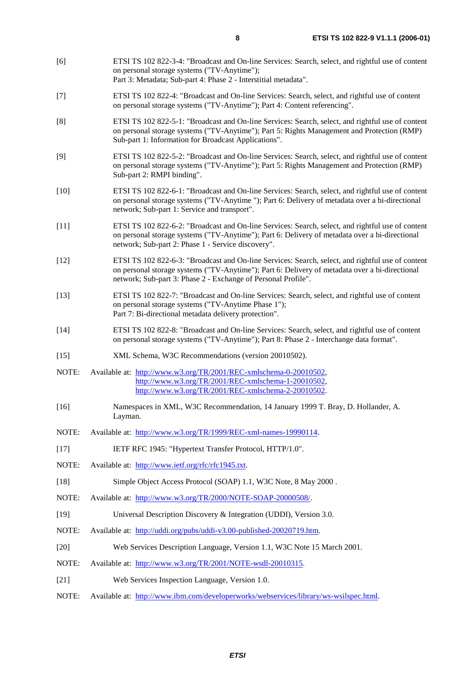- [6] ETSI TS 102 822-3-4: "Broadcast and On-line Services: Search, select, and rightful use of content on personal storage systems ("TV-Anytime"); Part 3: Metadata; Sub-part 4: Phase 2 - Interstitial metadata". [7] ETSI TS 102 822-4: "Broadcast and On-line Services: Search, select, and rightful use of content on personal storage systems ("TV-Anytime"); Part 4: Content referencing". [8] ETSI TS 102 822-5-1: "Broadcast and On-line Services: Search, select, and rightful use of content on personal storage systems ("TV-Anytime"); Part 5: Rights Management and Protection (RMP) Sub-part 1: Information for Broadcast Applications". [9] ETSI TS 102 822-5-2: "Broadcast and On-line Services: Search, select, and rightful use of content on personal storage systems ("TV-Anytime"); Part 5: Rights Management and Protection (RMP) Sub-part 2: RMPI binding". [10] ETSI TS 102 822-6-1: "Broadcast and On-line Services: Search, select, and rightful use of content on personal storage systems ("TV-Anytime "); Part 6: Delivery of metadata over a bi-directional network; Sub-part 1: Service and transport". [11] ETSI TS 102 822-6-2: "Broadcast and On-line Services: Search, select, and rightful use of content on personal storage systems ("TV-Anytime"); Part 6: Delivery of metadata over a bi-directional network; Sub-part 2: Phase 1 - Service discovery". [12] ETSI TS 102 822-6-3: "Broadcast and On-line Services: Search, select, and rightful use of content on personal storage systems ("TV-Anytime"); Part 6: Delivery of metadata over a bi-directional network; Sub-part 3: Phase 2 - Exchange of Personal Profile". [13] ETSI TS 102 822-7: "Broadcast and On-line Services: Search, select, and rightful use of content on personal storage systems ("TV-Anytime Phase 1"); Part 7: Bi-directional metadata delivery protection". [14] ETSI TS 102 822-8: "Broadcast and On-line Services: Search, select, and rightful use of content on personal storage systems ("TV-Anytime"); Part 8: Phase 2 - Interchange data format". [15] XML Schema, W3C Recommendations (version 20010502). NOTE: Available at: <http://www.w3.org/TR/2001/REC-xmlschema-0-20010502>, <http://www.w3.org/TR/2001/REC-xmlschema-1-20010502>, [http://www.w3.org/TR/2001/REC-xmlschema-2-20010502](http://www.w3.org/XML/Schema). [16] Namespaces in XML, W3C Recommendation, 14 January 1999 T. Bray, D. Hollander, A. Layman. NOTE: Available at: [http://www.w3.org/TR/1999/REC-xml-names-19990114.](http://www.w3.org/TR/1999/REC-xml-names-19990114) [17] IETF RFC 1945: "Hypertext Transfer Protocol, HTTP/1.0". NOTE: Available at: [http://www.ietf.org/rfc/rfc1945.txt.](http://www.ietf.org/rfc/rfc1945.txt) [18] Simple Object Access Protocol (SOAP) 1.1, W3C Note, 8 May 2000 . NOTE: Available at: [http://www.w3.org/TR/2000/NOTE-SOAP-20000508/.](http://www.w3.org/TR/2000/NOTE-SOAP-20000508/) [19] Universal Description Discovery & Integration (UDDI), Version 3.0. NOTE: Available at: [http://uddi.org/pubs/uddi-v3.00-published-20020719.htm.](http://uddi.org/pubs/uddi-v3.00-published-20020719.htm) [20] Web Services Description Language, Version 1.1, W3C Note 15 March 2001. NOTE: Available at: [http://www.w3.org/TR/2001/NOTE-wsdl-20010315.](http://www.w3.org/TR/2001/NOTE-wsdl-20010315) [21] Web Services Inspection Language, Version 1.0.
- NOTE: Available at: [http://www.ibm.com/developerworks/webservices/library/ws-wsilspec.html.](http://www.ibm.com/developerworks/webservices/library/ws-wsilspec.html)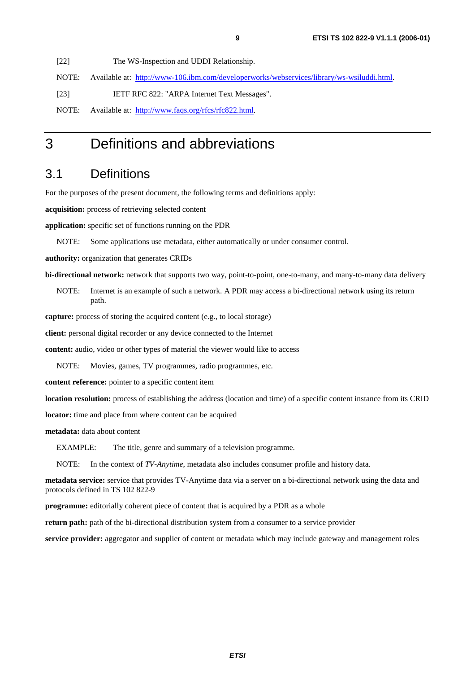[22] The WS-Inspection and UDDI Relationship.

NOTE: Available at: [http://www-106.ibm.com/developerworks/webservices/library/ws-wsiluddi.html.](http://www-106.ibm.com/developerworks/webservices/library/ws-wsiluddi.html)

[23] IETF RFC 822: "ARPA Internet Text Messages".

NOTE: Available at: [http://www.faqs.org/rfcs/rfc822.html.](http://www.faqs.org/rfcs/rfc822.html)

### 3 Definitions and abbreviations

### 3.1 Definitions

For the purposes of the present document, the following terms and definitions apply:

**acquisition:** process of retrieving selected content

**application:** specific set of functions running on the PDR

NOTE: Some applications use metadata, either automatically or under consumer control.

**authority:** organization that generates CRIDs

**bi-directional network:** network that supports two way, point-to-point, one-to-many, and many-to-many data delivery

NOTE: Internet is an example of such a network. A PDR may access a bi-directional network using its return path.

**capture:** process of storing the acquired content (e.g., to local storage)

**client:** personal digital recorder or any device connected to the Internet

**content:** audio, video or other types of material the viewer would like to access

NOTE: Movies, games, TV programmes, radio programmes, etc.

**content reference:** pointer to a specific content item

**location resolution:** process of establishing the address (location and time) of a specific content instance from its CRID

**locator:** time and place from where content can be acquired

**metadata:** data about content

EXAMPLE: The title, genre and summary of a television programme.

NOTE: In the context of *TV-Anytime*, metadata also includes consumer profile and history data.

**metadata service:** service that provides TV-Anytime data via a server on a bi-directional network using the data and protocols defined in TS 102 822-9

**programme:** editorially coherent piece of content that is acquired by a PDR as a whole

**return path:** path of the bi-directional distribution system from a consumer to a service provider

**service provider:** aggregator and supplier of content or metadata which may include gateway and management roles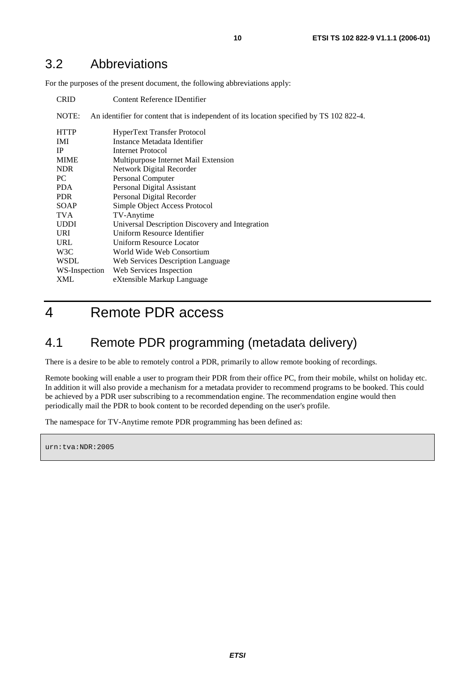### 3.2 Abbreviations

For the purposes of the present document, the following abbreviations apply:

| <b>CRID</b>   | Content Reference IDentifier                                                             |
|---------------|------------------------------------------------------------------------------------------|
| NOTE:         | An identifier for content that is independent of its location specified by TS 102 822-4. |
| <b>HTTP</b>   | HyperText Transfer Protocol                                                              |
| IMI.          | Instance Metadata Identifier                                                             |
| <b>IP</b>     | Internet Protocol                                                                        |
| <b>MIME</b>   | Multipurpose Internet Mail Extension                                                     |
| <b>NDR</b>    | Network Digital Recorder                                                                 |
| PC.           | Personal Computer                                                                        |
| <b>PDA</b>    | Personal Digital Assistant                                                               |
| <b>PDR</b>    | Personal Digital Recorder                                                                |
| <b>SOAP</b>   | Simple Object Access Protocol                                                            |
| <b>TVA</b>    | TV-Anytime                                                                               |
| <b>UDDI</b>   | Universal Description Discovery and Integration                                          |
| <b>URI</b>    | Uniform Resource Identifier                                                              |
| URL           | Uniform Resource Locator                                                                 |
| W3C           | World Wide Web Consortium                                                                |
| <b>WSDL</b>   | Web Services Description Language                                                        |
| WS-Inspection | Web Services Inspection                                                                  |
| XML           | eXtensible Markup Language                                                               |

### 4 Remote PDR access

### 4.1 Remote PDR programming (metadata delivery)

There is a desire to be able to remotely control a PDR, primarily to allow remote booking of recordings.

Remote booking will enable a user to program their PDR from their office PC, from their mobile, whilst on holiday etc. In addition it will also provide a mechanism for a metadata provider to recommend programs to be booked. This could be achieved by a PDR user subscribing to a recommendation engine. The recommendation engine would then periodically mail the PDR to book content to be recorded depending on the user's profile.

The namespace for TV-Anytime remote PDR programming has been defined as:

urn:tva:NDR:2005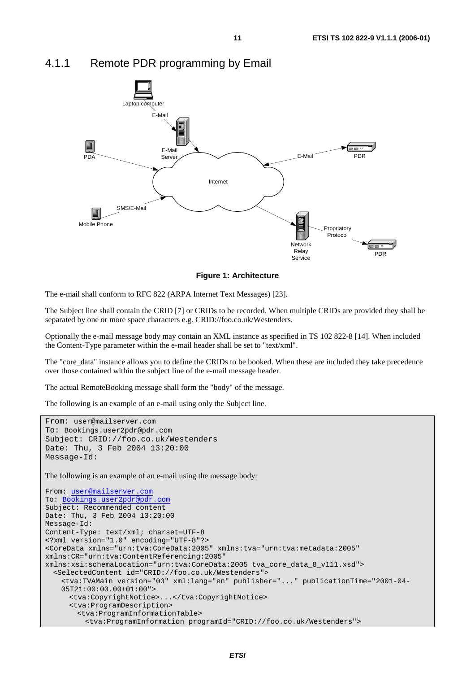

#### 4.1.1 Remote PDR programming by Email

**Figure 1: Architecture** 

The e-mail shall conform to RFC 822 (ARPA Internet Text Messages) [23].

The Subject line shall contain the CRID [7] or CRIDs to be recorded. When multiple CRIDs are provided they shall be separated by one or more space characters e.g. CRID://foo.co.uk/Westenders.

Optionally the e-mail message body may contain an XML instance as specified in TS 102 822-8 [14]. When included the Content-Type parameter within the e-mail header shall be set to "text/xml".

The "core\_data" instance allows you to define the CRIDs to be booked. When these are included they take precedence over those contained within the subject line of the e-mail message header.

The actual RemoteBooking message shall form the "body" of the message.

The following is an example of an e-mail using only the Subject line.

```
From: user@mailserver.com
To: Bookings.user2pdr@pdr.com
Subject: CRID://foo.co.uk/Westenders 
Date: Thu, 3 Feb 2004 13:20:00 
Message-Id: 
The following is an example of an e-mail using the message body:
From: user@mailserver.com
To: Bookings.user2pdr@pdr.com
Subject: Recommended content 
Date: Thu, 3 Feb 2004 13:20:00 
Message-Id: 
Content-Type: text/xml; charset=UTF-8 
<?xml version="1.0" encoding="UTF-8"?> 
<CoreData xmlns="urn:tva:CoreData:2005" xmlns:tva="urn:tva:metadata:2005" 
xmlns:CR="urn:tva:ContentReferencing:2005" 
xmlns:xsi:schemaLocation="urn:tva:CoreData:2005 tva_core_data_8_v111.xsd"> 
   <SelectedContent id="CRID://foo.co.uk/Westenders"> 
     <tva:TVAMain version="03" xml:lang="en" publisher="..." publicationTime="2001-04- 
     05T21:00:00.00+01:00"> 
      <tva:CopyrightNotice>...</tva:CopyrightNotice> 
       <tva:ProgramDescription> 
         <tva:ProgramInformationTable> 
          <tva:ProgramInformation programId="CRID://foo.co.uk/Westenders">
```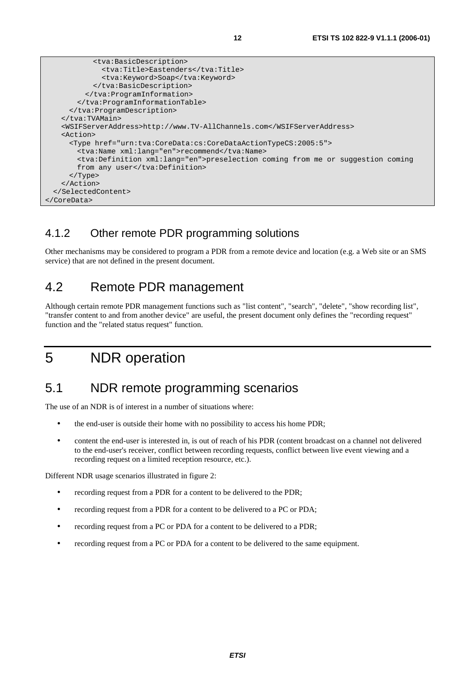```
 <tva:BasicDescription> 
              <tva:Title>Eastenders</tva:Title> 
               <tva:Keyword>Soap</tva:Keyword> 
            </tva:BasicDescription> 
          </tva:ProgramInformation> 
         </tva:ProgramInformationTable> 
      </tva:ProgramDescription> 
    </tva:TVAMain> 
    <WSIFServerAddress>http://www.TV-AllChannels.com</WSIFServerAddress> 
    <Action> 
      <Type href="urn:tva:CoreData:cs:CoreDataActionTypeCS:2005:5"> 
        <tva:Name xml:lang="en">recommend</tva:Name> 
        <tva:Definition xml:lang="en">preselection coming from me or suggestion coming 
       from any user</tva:Definition>
      </Type> 
    </Action> 
  </SelectedContent> 
</CoreData>
```
#### 4.1.2 Other remote PDR programming solutions

Other mechanisms may be considered to program a PDR from a remote device and location (e.g. a Web site or an SMS service) that are not defined in the present document.

### 4.2 Remote PDR management

Although certain remote PDR management functions such as "list content", "search", "delete", "show recording list", "transfer content to and from another device" are useful, the present document only defines the "recording request" function and the "related status request" function.

### 5 NDR operation

### 5.1 NDR remote programming scenarios

The use of an NDR is of interest in a number of situations where:

- the end-user is outside their home with no possibility to access his home PDR;
- content the end-user is interested in, is out of reach of his PDR (content broadcast on a channel not delivered to the end-user's receiver, conflict between recording requests, conflict between live event viewing and a recording request on a limited reception resource, etc.).

Different NDR usage scenarios illustrated in figure 2:

- recording request from a PDR for a content to be delivered to the PDR;
- recording request from a PDR for a content to be delivered to a PC or PDA;
- recording request from a PC or PDA for a content to be delivered to a PDR;
- recording request from a PC or PDA for a content to be delivered to the same equipment.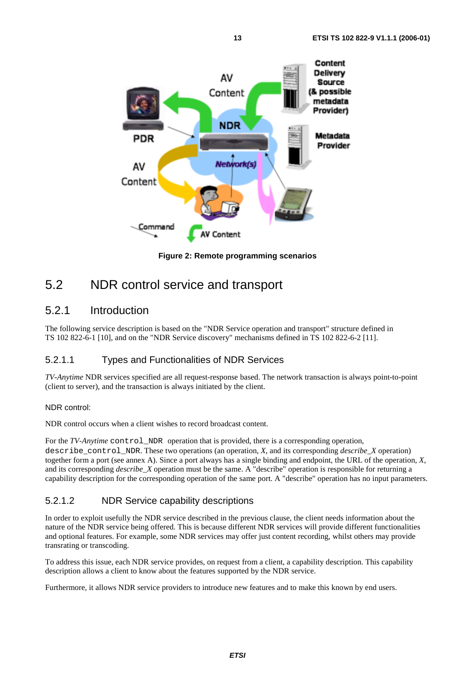

**Figure 2: Remote programming scenarios** 

### 5.2 NDR control service and transport

#### 5.2.1 Introduction

The following service description is based on the "NDR Service operation and transport" structure defined in TS 102 822-6-1 [10], and on the "NDR Service discovery" mechanisms defined in TS 102 822-6-2 [11].

#### 5.2.1.1 Types and Functionalities of NDR Services

*TV-Anytime* NDR services specified are all request-response based. The network transaction is always point-to-point (client to server), and the transaction is always initiated by the client.

#### NDR control:

NDR control occurs when a client wishes to record broadcast content.

For the *TV-Anytime* control\_NDR operation that is provided, there is a corresponding operation, describe control\_NDR. These two operations (an operation,  $X$ , and its corresponding *describe*  $X$  operation) together form a port (see annex A). Since a port always has a single binding and endpoint, the URL of the operation, *X*, and its corresponding *describe\_X* operation must be the same. A "describe" operation is responsible for returning a capability description for the corresponding operation of the same port. A "describe" operation has no input parameters.

#### 5.2.1.2 NDR Service capability descriptions

In order to exploit usefully the NDR service described in the previous clause, the client needs information about the nature of the NDR service being offered. This is because different NDR services will provide different functionalities and optional features. For example, some NDR services may offer just content recording, whilst others may provide transrating or transcoding.

To address this issue, each NDR service provides, on request from a client, a capability description. This capability description allows a client to know about the features supported by the NDR service.

Furthermore, it allows NDR service providers to introduce new features and to make this known by end users.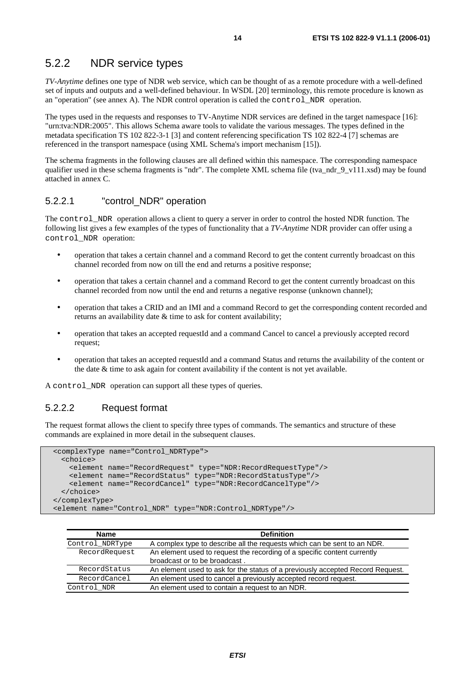#### 5.2.2 NDR service types

*TV-Anytime* defines one type of NDR web service, which can be thought of as a remote procedure with a well-defined set of inputs and outputs and a well-defined behaviour. In WSDL [20] terminology, this remote procedure is known as an "operation" (see annex A). The NDR control operation is called the control\_NDR operation.

The types used in the requests and responses to TV-Anytime NDR services are defined in the target namespace [16]: "urn:tva:NDR:2005". This allows Schema aware tools to validate the various messages. The types defined in the metadata specification TS 102 822-3-1 [3] and content referencing specification TS 102 822-4 [7] schemas are referenced in the transport namespace (using XML Schema's import mechanism [15]).

The schema fragments in the following clauses are all defined within this namespace. The corresponding namespace qualifier used in these schema fragments is "ndr". The complete XML schema file (tva\_ndr\_9\_v111.xsd) may be found attached in annex C.

#### 5.2.2.1 "control\_NDR" operation

The control\_NDR operation allows a client to query a server in order to control the hosted NDR function. The following list gives a few examples of the types of functionality that a *TV-Anytime* NDR provider can offer using a control\_NDR operation:

- operation that takes a certain channel and a command Record to get the content currently broadcast on this channel recorded from now on till the end and returns a positive response;
- operation that takes a certain channel and a command Record to get the content currently broadcast on this channel recorded from now until the end and returns a negative response (unknown channel);
- operation that takes a CRID and an IMI and a command Record to get the corresponding content recorded and returns an availability date & time to ask for content availability;
- operation that takes an accepted requestId and a command Cancel to cancel a previously accepted record request;
- operation that takes an accepted requestId and a command Status and returns the availability of the content or the date & time to ask again for content availability if the content is not yet available.

A control\_NDR operation can support all these types of queries.

#### 5.2.2.2 Request format

The request format allows the client to specify three types of commands. The semantics and structure of these commands are explained in more detail in the subsequent clauses.

```
 <complexType name="Control_NDRType"> 
    <choice> 
      <element name="RecordRequest" type="NDR:RecordRequestType"/> 
 <element name="RecordStatus" type="NDR:RecordStatusType"/> 
 <element name="RecordCancel" type="NDR:RecordCancelType"/> 
    </choice> 
  </complexType> 
  <element name="Control_NDR" type="NDR:Control_NDRType"/>
```

| <b>Name</b>     | <b>Definition</b>                                                              |
|-----------------|--------------------------------------------------------------------------------|
| Control NDRType | A complex type to describe all the requests which can be sent to an NDR.       |
| RecordRequest   | An element used to request the recording of a specific content currently       |
|                 | broadcast or to be broadcast.                                                  |
| RecordStatus    | An element used to ask for the status of a previously accepted Record Request. |
| RecordCancel    | An element used to cancel a previously accepted record request.                |
| Control NDR     | An element used to contain a request to an NDR.                                |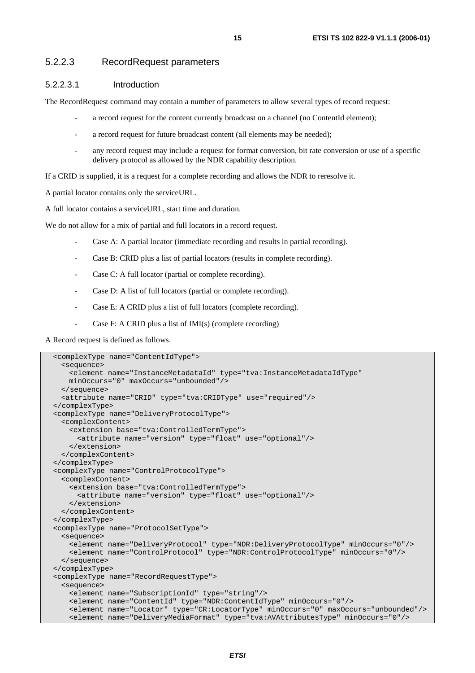#### 5.2.2.3 RecordRequest parameters

#### 5.2.2.3.1 Introduction

The RecordRequest command may contain a number of parameters to allow several types of record request:

- a record request for the content currently broadcast on a channel (no ContentId element);
- a record request for future broadcast content (all elements may be needed);
- any record request may include a request for format conversion, bit rate conversion or use of a specific delivery protocol as allowed by the NDR capability description.

If a CRID is supplied, it is a request for a complete recording and allows the NDR to reresolve it.

A partial locator contains only the serviceURL.

A full locator contains a serviceURL, start time and duration.

We do not allow for a mix of partial and full locators in a record request.

- Case A: A partial locator (immediate recording and results in partial recording).
- Case B: CRID plus a list of partial locators (results in complete recording).
- Case C: A full locator (partial or complete recording).
- Case D: A list of full locators (partial or complete recording).
- Case E: A CRID plus a list of full locators (complete recording).
- Case F: A CRID plus a list of IMI(s) (complete recording)

A Record request is defined as follows.

```
 <complexType name="ContentIdType"> 
   <sequence> 
    <element name="InstanceMetadataId" type="tva:InstanceMetadataIdType" 
    minOccurs="0" maxOccurs="unbounded"/> 
   </sequence> 
  <attribute name="CRID" type="tva:CRIDType" use="required"/> 
 </complexType> 
 <complexType name="DeliveryProtocolType"> 
  <complexContent> 
    <extension base="tva:ControlledTermType"> 
      <attribute name="version" type="float" use="optional"/> 
    </extension> 
  </complexContent> 
 </complexType> 
 <complexType name="ControlProtocolType"> 
   <complexContent> 
    <extension base="tva:ControlledTermType"> 
      <attribute name="version" type="float" use="optional"/> 
    </extension> 
  </complexContent> 
 </complexType> 
 <complexType name="ProtocolSetType"> 
  <sequence> 
    <element name="DeliveryProtocol" type="NDR:DeliveryProtocolType" minOccurs="0"/> 
    <element name="ControlProtocol" type="NDR:ControlProtocolType" minOccurs="0"/> 
   </sequence> 
 </complexType> 
 <complexType name="RecordRequestType"> 
  <sequence> 
    <element name="SubscriptionId" type="string"/> 
    <element name="ContentId" type="NDR:ContentIdType" minOccurs="0"/> 
     <element name="Locator" type="CR:LocatorType" minOccurs="0" maxOccurs="unbounded"/> 
     <element name="DeliveryMediaFormat" type="tva:AVAttributesType" minOccurs="0"/>
```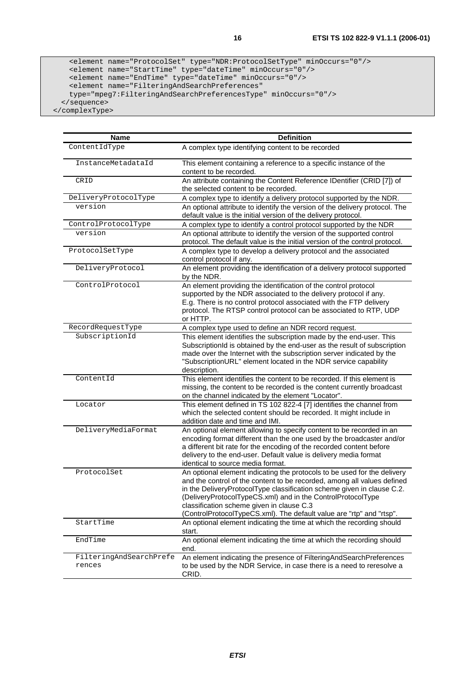```
 <element name="ProtocolSet" type="NDR:ProtocolSetType" minOccurs="0"/> 
 <element name="StartTime" type="dateTime" minOccurs="0"/> 
      <element name="EndTime" type="dateTime" minOccurs="0"/> 
      <element name="FilteringAndSearchPreferences" 
      type="mpeg7:FilteringAndSearchPreferencesType" minOccurs="0"/> 
    </sequence>
```
</complexType>

| <b>Name</b>                       | <b>Definition</b>                                                                                                                                                                                                                                                                                                                                                                                                 |
|-----------------------------------|-------------------------------------------------------------------------------------------------------------------------------------------------------------------------------------------------------------------------------------------------------------------------------------------------------------------------------------------------------------------------------------------------------------------|
| ContentIdType                     | A complex type identifying content to be recorded                                                                                                                                                                                                                                                                                                                                                                 |
| InstanceMetadataId                | This element containing a reference to a specific instance of the<br>content to be recorded.                                                                                                                                                                                                                                                                                                                      |
| CRID                              | An attribute containing the Content Reference IDentifier (CRID [7]) of<br>the selected content to be recorded.                                                                                                                                                                                                                                                                                                    |
| DeliveryProtocolType              | A complex type to identify a delivery protocol supported by the NDR.                                                                                                                                                                                                                                                                                                                                              |
| version                           | An optional attribute to identify the version of the delivery protocol. The<br>default value is the initial version of the delivery protocol.                                                                                                                                                                                                                                                                     |
| ControlProtocolType               | A complex type to identify a control protocol supported by the NDR                                                                                                                                                                                                                                                                                                                                                |
| version                           | An optional attribute to identify the version of the supported control<br>protocol. The default value is the initial version of the control protocol.                                                                                                                                                                                                                                                             |
| ProtocolSetType                   | A complex type to develop a delivery protocol and the associated<br>control protocol if any.                                                                                                                                                                                                                                                                                                                      |
| DeliveryProtocol                  | An element providing the identification of a delivery protocol supported<br>by the NDR.                                                                                                                                                                                                                                                                                                                           |
| ControlProtocol                   | An element providing the identification of the control protocol<br>supported by the NDR associated to the delivery protocol if any.<br>E.g. There is no control protocol associated with the FTP delivery<br>protocol. The RTSP control protocol can be associated to RTP, UDP<br>or HTTP.                                                                                                                        |
| RecordRequestType                 | A complex type used to define an NDR record request.                                                                                                                                                                                                                                                                                                                                                              |
| SubscriptionId                    | This element identifies the subscription made by the end-user. This<br>SubscriptionId is obtained by the end-user as the result of subscription<br>made over the Internet with the subscription server indicated by the<br>"SubscriptionURL" element located in the NDR service capability<br>description.                                                                                                        |
| ContentId                         | This element identifies the content to be recorded. If this element is<br>missing, the content to be recorded is the content currently broadcast<br>on the channel indicated by the element "Locator".                                                                                                                                                                                                            |
| Locator                           | This element defined in TS 102 822-4 [7] identifies the channel from<br>which the selected content should be recorded. It might include in<br>addition date and time and IMI.                                                                                                                                                                                                                                     |
| DeliveryMediaFormat               | An optional element allowing to specify content to be recorded in an<br>encoding format different than the one used by the broadcaster and/or<br>a different bit rate for the encoding of the recorded content before<br>delivery to the end-user. Default value is delivery media format<br>identical to source media format.                                                                                    |
| ProtocolSet                       | An optional element indicating the protocols to be used for the delivery<br>and the control of the content to be recorded, among all values defined<br>in the DeliveryProtocolType classification scheme given in clause C.2.<br>(DeliveryProtocolTypeCS.xml) and in the ControlProtocolType<br>classification scheme given in clause C.3<br>(ControlProtocolTypeCS.xml). The default value are "rtp" and "rtsp". |
| StartTime                         | An optional element indicating the time at which the recording should<br>start.                                                                                                                                                                                                                                                                                                                                   |
| EndTime                           | An optional element indicating the time at which the recording should<br>end.                                                                                                                                                                                                                                                                                                                                     |
| FilteringAndSearchPrefe<br>rences | An element indicating the presence of FilteringAndSearchPreferences<br>to be used by the NDR Service, in case there is a need to reresolve a<br>CRID.                                                                                                                                                                                                                                                             |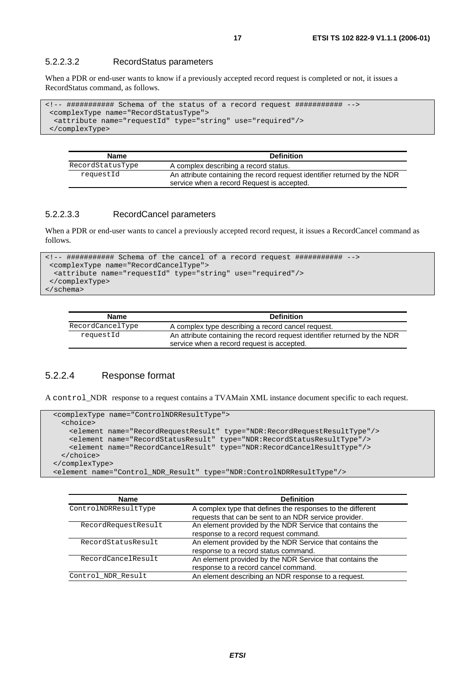#### 5.2.2.3.2 RecordStatus parameters

When a PDR or end-user wants to know if a previously accepted record request is completed or not, it issues a RecordStatus command, as follows.

```
<!-- ########### Schema of the status of a record request ########### --> 
  <complexType name="RecordStatusType"> 
   <attribute name="requestId" type="string" use="required"/> 
  </complexType>
```

| <b>Name</b>      | <b>Definition</b>                                                                                                       |
|------------------|-------------------------------------------------------------------------------------------------------------------------|
| RecordStatusType | A complex describing a record status.                                                                                   |
| requestId        | An attribute containing the record request identifier returned by the NDR<br>service when a record Request is accepted. |

#### 5.2.2.3.3 RecordCancel parameters

When a PDR or end-user wants to cancel a previously accepted record request, it issues a RecordCancel command as follows.

```
<!-- ########### Schema of the cancel of a record request ########### --> 
  <complexType name="RecordCancelType"> 
   <attribute name="requestId" type="string" use="required"/> 
  </complexType> 
</schema>
```

| Name             | <b>Definition</b>                                                                                                       |
|------------------|-------------------------------------------------------------------------------------------------------------------------|
| RecordCancelType | A complex type describing a record cancel request.                                                                      |
| requestId        | An attribute containing the record request identifier returned by the NDR<br>service when a record request is accepted. |

#### 5.2.2.4 Response format

A control\_NDR response to a request contains a TVAMain XML instance document specific to each request.

```
 <complexType name="ControlNDRResultType"> 
    <choice> 
      <element name="RecordRequestResult" type="NDR:RecordRequestResultType"/> 
 <element name="RecordStatusResult" type="NDR:RecordStatusResultType"/> 
 <element name="RecordCancelResult" type="NDR:RecordCancelResultType"/> 
    </choice> 
  </complexType> 
  <element name="Control_NDR_Result" type="NDR:ControlNDRResultType"/>
```

| <b>Name</b>          | <b>Definition</b>                                                                                                   |
|----------------------|---------------------------------------------------------------------------------------------------------------------|
| ControlNDRResultType | A complex type that defines the responses to the different<br>requests that can be sent to an NDR service provider. |
| RecordRequestResult  | An element provided by the NDR Service that contains the                                                            |
|                      | response to a record request command.                                                                               |
| RecordStatusResult   | An element provided by the NDR Service that contains the                                                            |
|                      | response to a record status command.                                                                                |
| RecordCancelResult   | An element provided by the NDR Service that contains the                                                            |
|                      | response to a record cancel command.                                                                                |
| Control NDR Result   | An element describing an NDR response to a request.                                                                 |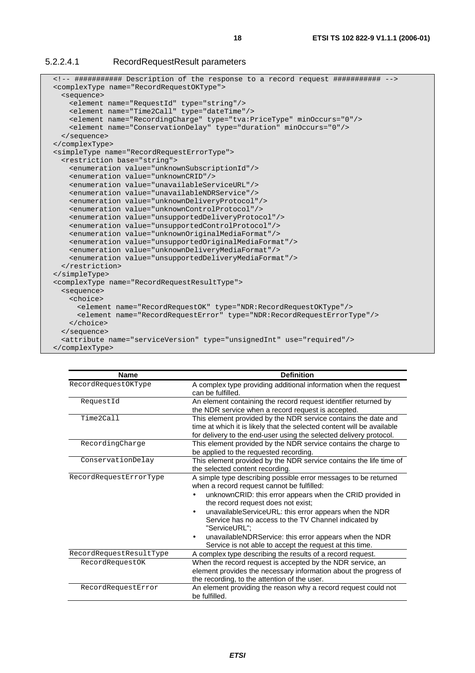#### 5.2.2.4.1 RecordRequestResult parameters

```
 <!-- ########### Description of the response to a record request ########### --> 
 <complexType name="RecordRequestOKType"> 
  <sequence> 
    <element name="RequestId" type="string"/> 
    <element name="Time2Call" type="dateTime"/> 
    <element name="RecordingCharge" type="tva:PriceType" minOccurs="0"/> 
    <element name="ConservationDelay" type="duration" minOccurs="0"/> 
  </sequence> 
 </complexType> 
 <simpleType name="RecordRequestErrorType"> 
  <restriction base="string"> 
    <enumeration value="unknownSubscriptionId"/> 
    <enumeration value="unknownCRID"/> 
    <enumeration value="unavailableServiceURL"/> 
    <enumeration value="unavailableNDRService"/> 
    <enumeration value="unknownDeliveryProtocol"/> 
    <enumeration value="unknownControlProtocol"/> 
    <enumeration value="unsupportedDeliveryProtocol"/> 
    <enumeration value="unsupportedControlProtocol"/> 
    <enumeration value="unknownOriginalMediaFormat"/> 
    <enumeration value="unsupportedOriginalMediaFormat"/> 
    <enumeration value="unknownDeliveryMediaFormat"/> 
    <enumeration value="unsupportedDeliveryMediaFormat"/> 
  </restriction> 
 </simpleType> 
 <complexType name="RecordRequestResultType"> 
  <sequence> 
    <choice> 
      <element name="RecordRequestOK" type="NDR:RecordRequestOKType"/> 
      <element name="RecordRequestError" type="NDR:RecordRequestErrorType"/> 
    </choice> 
  </sequence> 
  <attribute name="serviceVersion" type="unsignedInt" use="required"/> 
 </complexType>
```

| <b>Name</b>             | <b>Definition</b>                                                                                                                                                                                                                                                                                                                                                                                                                                                        |
|-------------------------|--------------------------------------------------------------------------------------------------------------------------------------------------------------------------------------------------------------------------------------------------------------------------------------------------------------------------------------------------------------------------------------------------------------------------------------------------------------------------|
| RecordRequestOKType     | A complex type providing additional information when the request<br>can be fulfilled.                                                                                                                                                                                                                                                                                                                                                                                    |
| RequestId               | An element containing the record request identifier returned by<br>the NDR service when a record request is accepted.                                                                                                                                                                                                                                                                                                                                                    |
| Time2Call               | This element provided by the NDR service contains the date and<br>time at which it is likely that the selected content will be available<br>for delivery to the end-user using the selected delivery protocol.                                                                                                                                                                                                                                                           |
| RecordingCharge         | This element provided by the NDR service contains the charge to<br>be applied to the requested recording.                                                                                                                                                                                                                                                                                                                                                                |
| ConservationDelay       | This element provided by the NDR service contains the life time of<br>the selected content recording.                                                                                                                                                                                                                                                                                                                                                                    |
| RecordRequestErrorType  | A simple type describing possible error messages to be returned<br>when a record request cannot be fulfilled:<br>unknownCRID: this error appears when the CRID provided in<br>the record request does not exist;<br>unavailableServiceURL: this error appears when the NDR<br>Service has no access to the TV Channel indicated by<br>"ServiceURL":<br>unavailableNDRService: this error appears when the NDR<br>Service is not able to accept the request at this time. |
| RecordRequestResultType | A complex type describing the results of a record request.                                                                                                                                                                                                                                                                                                                                                                                                               |
| RecordRequestOK         | When the record request is accepted by the NDR service, an<br>element provides the necessary information about the progress of<br>the recording, to the attention of the user.                                                                                                                                                                                                                                                                                           |
| RecordRequestError      | An element providing the reason why a record request could not<br>be fulfilled.                                                                                                                                                                                                                                                                                                                                                                                          |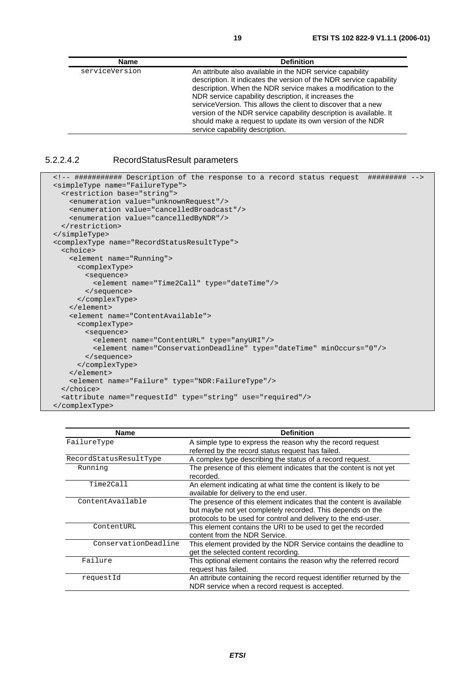| <b>Name</b>    | <b>Definition</b>                                                                                                                                                                                                                                                                                                                                                                                                                                                                                  |
|----------------|----------------------------------------------------------------------------------------------------------------------------------------------------------------------------------------------------------------------------------------------------------------------------------------------------------------------------------------------------------------------------------------------------------------------------------------------------------------------------------------------------|
| serviceVersion | An attribute also available in the NDR service capability<br>description. It indicates the version of the NDR service capability<br>description. When the NDR service makes a modification to the<br>NDR service capability description, it increases the<br>service Version. This allows the client to discover that a new<br>version of the NDR service capability description is available. It<br>should make a request to update its own version of the NDR<br>service capability description. |

#### 5.2.2.4.2 RecordStatusResult parameters

```
 <!-- ########### Description of the response to a record status request ######### --> 
 <simpleType name="FailureType"> 
  <restriction base="string"> 
     <enumeration value="unknownRequest"/> 
     <enumeration value="cancelledBroadcast"/> 
    <enumeration value="cancelledByNDR"/> 
  </restriction> 
 </simpleType> 
 <complexType name="RecordStatusResultType"> 
   <choice> 
     <element name="Running"> 
       <complexType> 
         <sequence> 
           <element name="Time2Call" type="dateTime"/> 
         </sequence> 
       </complexType> 
     </element> 
     <element name="ContentAvailable"> 
      <complexType> 
         <sequence> 
          <element name="ContentURL" type="anyURI"/> 
           <element name="ConservationDeadline" type="dateTime" minOccurs="0"/> 
        </sequence> 
       </complexType> 
     </element> 
     <element name="Failure" type="NDR:FailureType"/> 
   </choice> 
   <attribute name="requestId" type="string" use="required"/> 
 </complexType>
```

| <b>Name</b>            | <b>Definition</b>                                                                                                                                                                                    |
|------------------------|------------------------------------------------------------------------------------------------------------------------------------------------------------------------------------------------------|
| FailureType            | A simple type to express the reason why the record request<br>referred by the record status request has failed.                                                                                      |
| RecordStatusResultType | A complex type describing the status of a record request.                                                                                                                                            |
| Running                | The presence of this element indicates that the content is not yet<br>recorded.                                                                                                                      |
| Time2Call              | An element indicating at what time the content is likely to be<br>available for delivery to the end user.                                                                                            |
| ContentAvailable       | The presence of this element indicates that the content is available<br>but maybe not yet completely recorded. This depends on the<br>protocols to be used for control and delivery to the end-user. |
| ContentURL             | This element contains the URI to be used to get the recorded<br>content from the NDR Service.                                                                                                        |
| ConservationDeadline   | This element provided by the NDR Service contains the deadline to<br>get the selected content recording.                                                                                             |
| Failure                | This optional element contains the reason why the referred record<br>request has failed.                                                                                                             |
| requestId              | An attribute containing the record request identifier returned by the<br>NDR service when a record request is accepted.                                                                              |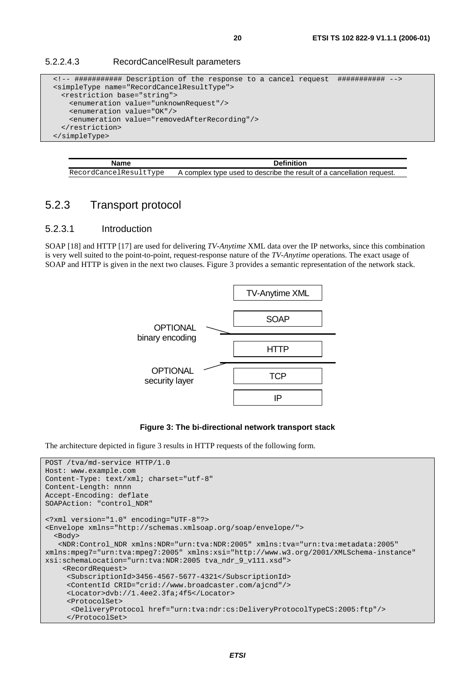#### 5.2.2.4.3 RecordCancelResult parameters

```
 <!-- ########### Description of the response to a cancel request ########### --> 
 <simpleType name="RecordCancelResultType"> 
  <restriction base="string"> 
    <enumeration value="unknownRequest"/> 
     <enumeration value="OK"/> 
    <enumeration value="removedAfterRecording"/> 
  </restriction> 
 </simpleType>
```
**Name** Definition RecordCancelResultType A complex type used to describe the result of a cancellation request.

#### 5.2.3 Transport protocol

#### 5.2.3.1 Introduction

SOAP [18] and HTTP [17] are used for delivering *TV-Anytime* XML data over the IP networks, since this combination is very well suited to the point-to-point, request-response nature of the *TV-Anytime* operations. The exact usage of SOAP and HTTP is given in the next two clauses. Figure 3 provides a semantic representation of the network stack.



#### **Figure 3: The bi-directional network transport stack**

The architecture depicted in figure 3 results in HTTP requests of the following form.

```
POST /tva/md-service HTTP/1.0 
Host: www.example.com 
Content-Type: text/xml; charset="utf-8" 
Content-Length: nnnn 
Accept-Encoding: deflate 
SOAPAction: "control_NDR" 
<?xml version="1.0" encoding="UTF-8"?> 
<Envelope xmlns="http://schemas.xmlsoap.org/soap/envelope/"> 
   <Body> 
    <NDR:Control_NDR xmlns:NDR="urn:tva:NDR:2005" xmlns:tva="urn:tva:metadata:2005" 
xmlns:mpeg7="urn:tva:mpeg7:2005" xmlns:xsi="http://www.w3.org/2001/XMLSchema-instance" 
xsi:schemaLocation="urn:tva:NDR:2005 tva_ndr_9_v111.xsd"> 
     <RecordRequest> 
      <SubscriptionId>3456-4567-5677-4321</SubscriptionId> 
      <ContentId CRID="crid://www.broadcaster.com/ajcnd"/> 
      <Locator>dvb://1.4ee2.3fa;4f5</Locator> 
      <ProtocolSet> 
       <DeliveryProtocol href="urn:tva:ndr:cs:DeliveryProtocolTypeCS:2005:ftp"/> 
      </ProtocolSet>
```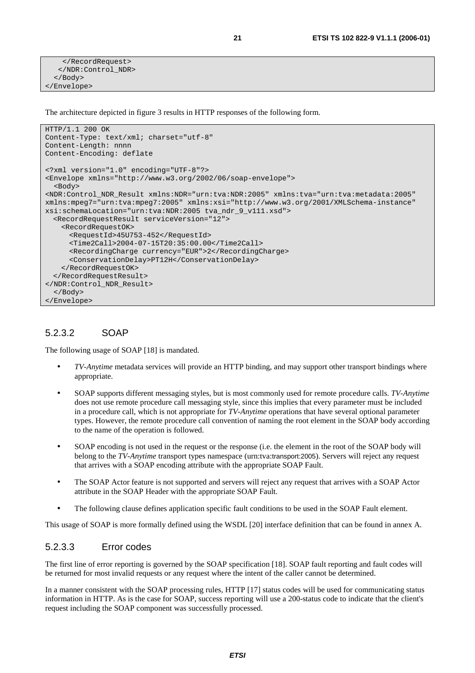```
 </RecordRequest> 
    </NDR:Control_NDR> 
   </Body> 
</Envelope>
```
The architecture depicted in figure 3 results in HTTP responses of the following form.

```
HTTP/1.1 200 OK 
Content-Type: text/xml; charset="utf-8" 
Content-Length: nnnn 
Content-Encoding: deflate 
<?xml version="1.0" encoding="UTF-8"?> 
<Envelope xmlns="http://www.w3.org/2002/06/soap-envelope"> 
   <Body> 
<NDR:Control_NDR_Result xmlns:NDR="urn:tva:NDR:2005" xmlns:tva="urn:tva:metadata:2005" 
xmlns:mpeg7="urn:tva:mpeg7:2005" xmlns:xsi="http://www.w3.org/2001/XMLSchema-instance" 
xsi:schemaLocation="urn:tva:NDR:2005 tva_ndr_9_v111.xsd"> 
   <RecordRequestResult serviceVersion="12"> 
     <RecordRequestOK> 
       <RequestId>45U753-452</RequestId> 
      <Time2Call>2004-07-15T20:35:00.00</Time2Call> 
      <RecordingCharge currency="EUR">2</RecordingCharge> 
       <ConservationDelay>PT12H</ConservationDelay> 
    </RecordRequestOK> 
   </RecordRequestResult> 
</NDR:Control_NDR_Result> 
  </Body> 
</Envelope>
```
#### 5.2.3.2 SOAP

The following usage of SOAP [18] is mandated.

- *TV-Anytime* metadata services will provide an HTTP binding, and may support other transport bindings where appropriate.
- SOAP supports different messaging styles, but is most commonly used for remote procedure calls. *TV-Anytime* does not use remote procedure call messaging style, since this implies that every parameter must be included in a procedure call, which is not appropriate for *TV-Anytime* operations that have several optional parameter types. However, the remote procedure call convention of naming the root element in the SOAP body according to the name of the operation is followed.
- SOAP encoding is not used in the request or the response (i.e. the element in the root of the SOAP body will belong to the *TV-Anytime* transport types namespace (urn:tva:transport:2005). Servers will reject any request that arrives with a SOAP encoding attribute with the appropriate SOAP Fault.
- The SOAP Actor feature is not supported and servers will reject any request that arrives with a SOAP Actor attribute in the SOAP Header with the appropriate SOAP Fault.
- The following clause defines application specific fault conditions to be used in the SOAP Fault element.

This usage of SOAP is more formally defined using the WSDL [20] interface definition that can be found in annex A.

#### 5.2.3.3 Error codes

The first line of error reporting is governed by the SOAP specification [18]. SOAP fault reporting and fault codes will be returned for most invalid requests or any request where the intent of the caller cannot be determined.

In a manner consistent with the SOAP processing rules, HTTP [17] status codes will be used for communicating status information in HTTP. As is the case for SOAP, success reporting will use a 200-status code to indicate that the client's request including the SOAP component was successfully processed.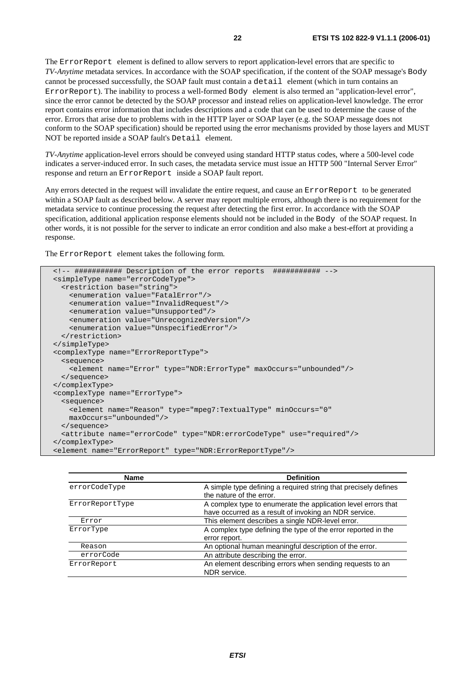The ErrorReport element is defined to allow servers to report application-level errors that are specific to *TV-Anytime* metadata services. In accordance with the SOAP specification, if the content of the SOAP message's Body cannot be processed successfully, the SOAP fault must contain a detail element (which in turn contains an ErrorReport). The inability to process a well-formed Body element is also termed an "application-level error", since the error cannot be detected by the SOAP processor and instead relies on application-level knowledge. The error report contains error information that includes descriptions and a code that can be used to determine the cause of the error. Errors that arise due to problems with in the HTTP layer or SOAP layer (e.g. the SOAP message does not conform to the SOAP specification) should be reported using the error mechanisms provided by those layers and MUST NOT be reported inside a SOAP fault's Detail element.

*TV-Anytime* application-level errors should be conveyed using standard HTTP status codes, where a 500-level code indicates a server-induced error. In such cases, the metadata service must issue an HTTP 500 "Internal Server Error" response and return an ErrorReport inside a SOAP fault report.

Any errors detected in the request will invalidate the entire request, and cause an ErrorReport to be generated within a SOAP fault as described below. A server may report multiple errors, although there is no requirement for the metadata service to continue processing the request after detecting the first error. In accordance with the SOAP specification, additional application response elements should not be included in the Body of the SOAP request. In other words, it is not possible for the server to indicate an error condition and also make a best-effort at providing a response.

The ErrorReport element takes the following form.

```
 <!-- ########### Description of the error reports ########### --> 
 <simpleType name="errorCodeType"> 
  <restriction base="string"> 
    <enumeration value="FatalError"/> 
    <enumeration value="InvalidRequest"/> 
    <enumeration value="Unsupported"/> 
    <enumeration value="UnrecognizedVersion"/> 
    <enumeration value="UnspecifiedError"/> 
  </restriction> 
 </simpleType> 
 <complexType name="ErrorReportType"> 
  <sequence> 
    <element name="Error" type="NDR:ErrorType" maxOccurs="unbounded"/> 
  </sequence> 
 </complexType> 
 <complexType name="ErrorType"> 
  <sequence> 
    <element name="Reason" type="mpeg7:TextualType" minOccurs="0" 
    maxOccurs="unbounded"/> 
  </sequence> 
  <attribute name="errorCode" type="NDR:errorCodeType" use="required"/> 
 </complexType> 
 <element name="ErrorReport" type="NDR:ErrorReportType"/>
```

| <b>Name</b>     | <b>Definition</b>                                                                                                      |
|-----------------|------------------------------------------------------------------------------------------------------------------------|
| errorCodeType   | A simple type defining a required string that precisely defines<br>the nature of the error.                            |
| ErrorReportType | A complex type to enumerate the application level errors that<br>have occurred as a result of invoking an NDR service. |
| Error           | This element describes a single NDR-level error.                                                                       |
| ErrorType       | A complex type defining the type of the error reported in the<br>error report.                                         |
| Reason          | An optional human meaningful description of the error.                                                                 |
| errorCode       | An attribute describing the error.                                                                                     |
| ErrorReport     | An element describing errors when sending requests to an<br>NDR service.                                               |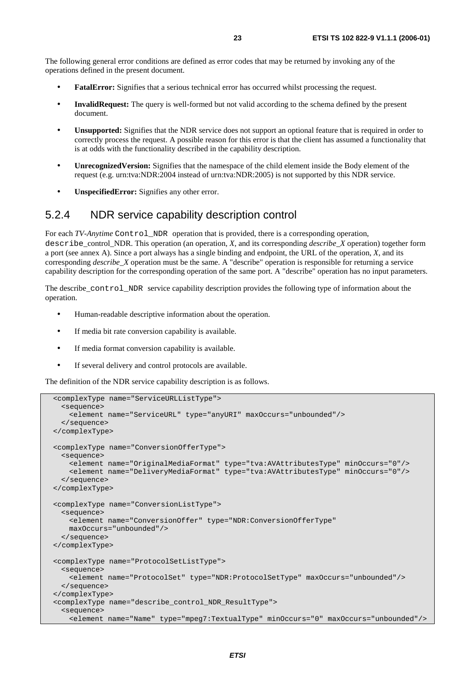- **FatalError:** Signifies that a serious technical error has occurred whilst processing the request.
- **InvalidRequest:** The query is well-formed but not valid according to the schema defined by the present document.
- **Unsupported:** Signifies that the NDR service does not support an optional feature that is required in order to correctly process the request. A possible reason for this error is that the client has assumed a functionality that is at odds with the functionality described in the capability description.
- **UnrecognizedVersion:** Signifies that the namespace of the child element inside the Body element of the request (e.g. urn:tva:NDR:2004 instead of urn:tva:NDR:2005) is not supported by this NDR service.
- **UnspecifiedError:** Signifies any other error.

#### 5.2.4 NDR service capability description control

For each *TV-Anytime* Control\_NDR operation that is provided, there is a corresponding operation, describe\_control\_NDR. This operation (an operation, *X*, and its corresponding *describe*\_*X* operation) together form a port (see annex A). Since a port always has a single binding and endpoint, the URL of the operation, *X*, and its corresponding *describe\_X* operation must be the same. A "describe" operation is responsible for returning a service capability description for the corresponding operation of the same port. A "describe" operation has no input parameters.

The describe\_control\_NDR service capability description provides the following type of information about the operation.

- Human-readable descriptive information about the operation.
- If media bit rate conversion capability is available.
- If media format conversion capability is available.
- If several delivery and control protocols are available.

The definition of the NDR service capability description is as follows.

```
 <complexType name="ServiceURLListType"> 
   <sequence> 
    <element name="ServiceURL" type="anyURI" maxOccurs="unbounded"/> 
   </sequence> 
 </complexType> 
 <complexType name="ConversionOfferType"> 
  <sequence> 
    <element name="OriginalMediaFormat" type="tva:AVAttributesType" minOccurs="0"/> 
    <element name="DeliveryMediaFormat" type="tva:AVAttributesType" minOccurs="0"/> 
   </sequence> 
 </complexType> 
 <complexType name="ConversionListType"> 
  <sequence> 
    <element name="ConversionOffer" type="NDR:ConversionOfferType" 
    maxOccurs="unbounded"/> 
  </sequence> 
 </complexType> 
 <complexType name="ProtocolSetListType"> 
   <sequence> 
     <element name="ProtocolSet" type="NDR:ProtocolSetType" maxOccurs="unbounded"/> 
   </sequence> 
 </complexType> 
 <complexType name="describe_control_NDR_ResultType"> 
   <sequence> 
     <element name="Name" type="mpeg7:TextualType" minOccurs="0" maxOccurs="unbounded"/>
```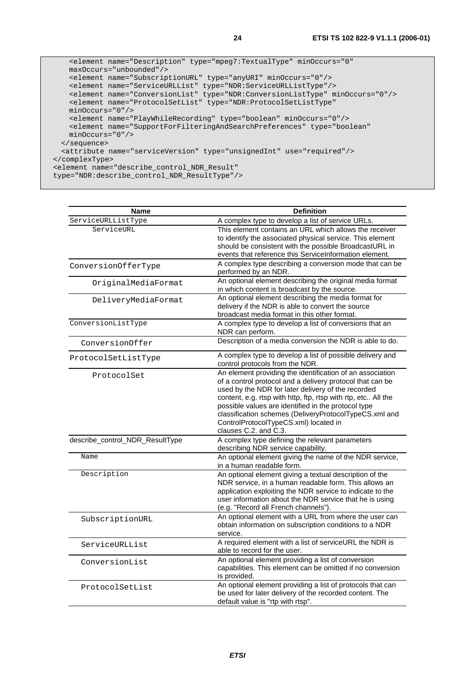```
 <element name="Description" type="mpeg7:TextualType" minOccurs="0" 
    maxOccurs="unbounded"/> 
    <element name="SubscriptionURL" type="anyURI" minOccurs="0"/> 
    <element name="ServiceURLList" type="NDR:ServiceURLListType"/> 
    <element name="ConversionList" type="NDR:ConversionListType" minOccurs="0"/> 
    <element name="ProtocolSetList" type="NDR:ProtocolSetListType" 
    minOccurs="0"/> 
    <element name="PlayWhileRecording" type="boolean" minOccurs="0"/> 
    <element name="SupportForFilteringAndSearchPreferences" type="boolean" 
    minOccurs="0"/> 
  </sequence> 
   <attribute name="serviceVersion" type="unsignedInt" use="required"/> 
 </complexType> 
 <element name="describe_control_NDR_Result" 
 type="NDR:describe_control_NDR_ResultType"/>
```

| Name                            | <b>Definition</b>                                                                                                                                                                                                                                                                                                                                                                                                                |
|---------------------------------|----------------------------------------------------------------------------------------------------------------------------------------------------------------------------------------------------------------------------------------------------------------------------------------------------------------------------------------------------------------------------------------------------------------------------------|
| ServiceURLListType              | A complex type to develop a list of service URLs.                                                                                                                                                                                                                                                                                                                                                                                |
| ServiceURL                      | This element contains an URL which allows the receiver<br>to identify the associated physical service. This element<br>should be consistent with the possible BroadcastURL in<br>events that reference this ServiceInformation element.                                                                                                                                                                                          |
| ConversionOfferType             | A complex type describing a conversion mode that can be<br>performed by an NDR.                                                                                                                                                                                                                                                                                                                                                  |
| OriginalMediaFormat             | An optional element describing the original media format<br>in which content is broadcast by the source.                                                                                                                                                                                                                                                                                                                         |
| DeliveryMediaFormat             | An optional element describing the media format for<br>delivery if the NDR is able to convert the source<br>broadcast media format in this other format.                                                                                                                                                                                                                                                                         |
| ConversionListType              | A complex type to develop a list of conversions that an<br>NDR can perform.                                                                                                                                                                                                                                                                                                                                                      |
| ConversionOffer                 | Description of a media conversion the NDR is able to do.                                                                                                                                                                                                                                                                                                                                                                         |
| ProtocolSetListType             | A complex type to develop a list of possible delivery and<br>control protocols from the NDR.                                                                                                                                                                                                                                                                                                                                     |
| ProtocolSet                     | An element providing the identification of an association<br>of a control protocol and a delivery protocol that can be<br>used by the NDR for later delivery of the recorded<br>content, e.g. rtsp with http, ftp, rtsp with rtp, etc All the<br>possible values are identified in the protocol type<br>classification schemes (DeliveryProtocolTypeCS.xml and<br>ControlProtocolTypeCS.xml) located in<br>clauses C.2. and C.3. |
| describe_control_NDR_ResultType | A complex type defining the relevant parameters<br>describing NDR service capability.                                                                                                                                                                                                                                                                                                                                            |
| Name                            | An optional element giving the name of the NDR service,<br>in a human readable form.                                                                                                                                                                                                                                                                                                                                             |
| Description                     | An optional element giving a textual description of the<br>NDR service, in a human readable form. This allows an<br>application exploiting the NDR service to indicate to the<br>user information about the NDR service that he is using<br>(e.g. "Record all French channels").                                                                                                                                                 |
| SubscriptionURL                 | An optional element with a URL from where the user can<br>obtain information on subscription conditions to a NDR<br>service.                                                                                                                                                                                                                                                                                                     |
| ServiceURLList                  | A required element with a list of serviceURL the NDR is<br>able to record for the user.                                                                                                                                                                                                                                                                                                                                          |
| ConversionList                  | An optional element providing a list of conversion<br>capabilities. This element can be omitted if no conversion<br>is provided.                                                                                                                                                                                                                                                                                                 |
| ProtocolSetList                 | An optional element providing a list of protocols that can<br>be used for later delivery of the recorded content. The<br>default value is "rtp with rtsp".                                                                                                                                                                                                                                                                       |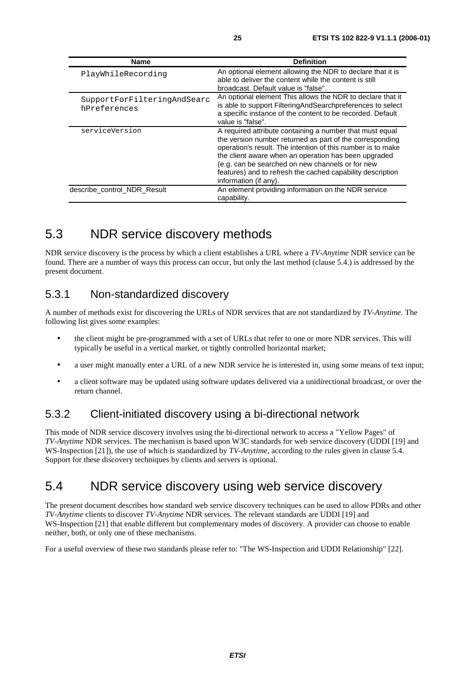| <b>Name</b>                                 | <b>Definition</b>                                                                                                                                                                                                                                                                                                                                                                      |
|---------------------------------------------|----------------------------------------------------------------------------------------------------------------------------------------------------------------------------------------------------------------------------------------------------------------------------------------------------------------------------------------------------------------------------------------|
| PlayWhileRecording                          | An optional element allowing the NDR to declare that it is<br>able to deliver the content while the content is still<br>broadcast. Default value is "false".                                                                                                                                                                                                                           |
| SupportForFilteringAndSearc<br>hPreferences | An optional element This allows the NDR to declare that it<br>is able to support FilteringAndSearchpreferences to select<br>a specific instance of the content to be recorded. Default<br>value is "false".                                                                                                                                                                            |
| serviceVersion                              | A required attribute containing a number that must equal<br>the version number returned as part of the corresponding<br>operation's result. The intention of this number is to make<br>the client aware when an operation has been upgraded<br>(e.g. can be searched on new channels or for new<br>features) and to refresh the cached capability description<br>information (if any). |
| describe control NDR Result                 | An element providing information on the NDR service<br>capability.                                                                                                                                                                                                                                                                                                                     |

### 5.3 NDR service discovery methods

NDR service discovery is the process by which a client establishes a URL where a *TV-Anytime* NDR service can be found. There are a number of ways this process can occur, but only the last method (clause 5.4.) is addressed by the present document.

#### 5.3.1 Non-standardized discovery

A number of methods exist for discovering the URLs of NDR services that are not standardized by *TV-Anytime*. The following list gives some examples:

- the client might be pre-programmed with a set of URLs that refer to one or more NDR services. This will typically be useful in a vertical market, or tightly controlled horizontal market;
- a user might manually enter a URL of a new NDR service he is interested in, using some means of text input;
- a client software may be updated using software updates delivered via a unidirectional broadcast, or over the return channel.

#### 5.3.2 Client-initiated discovery using a bi-directional network

This mode of NDR service discovery involves using the bi-directional network to access a "Yellow Pages" of *TV-Anytime* NDR services. The mechanism is based upon W3C standards for web service discovery (UDDI [19] and WS*-*Inspection [21]), the use of which is standardized by *TV-Anytime*, according to the rules given in clause 5.4. Support for these discovery techniques by clients and servers is optional.

### 5.4 NDR service discovery using web service discovery

The present document describes how standard web service discovery techniques can be used to allow PDRs and other *TV-Anytime* clients to discover *TV-Anytime* NDR services. The relevant standards are UDDI [19] and WS*-*Inspection [21] that enable different but complementary modes of discovery. A provider can choose to enable neither, both, or only one of these mechanisms.

For a useful overview of these two standards please refer to: "The WS-Inspection and UDDI Relationship" [22].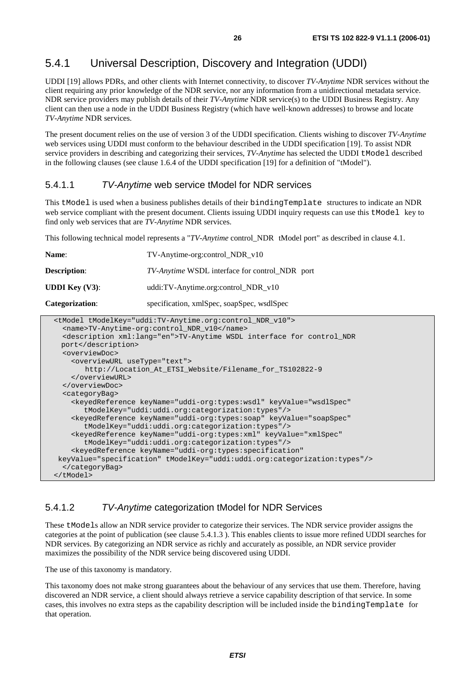#### 5.4.1 Universal Description, Discovery and Integration (UDDI)

UDDI [19] allows PDRs, and other clients with Internet connectivity, to discover *TV-Anytime* NDR services without the client requiring any prior knowledge of the NDR service, nor any information from a unidirectional metadata service. NDR service providers may publish details of their *TV-Anytime* NDR service(s) to the UDDI Business Registry. Any client can then use a node in the UDDI Business Registry (which have well-known addresses) to browse and locate *TV-Anytime* NDR services.

The present document relies on the use of version 3 of the UDDI specification. Clients wishing to discover *TV-Anytime* web services using UDDI must conform to the behaviour described in the UDDI specification [19]. To assist NDR service providers in describing and categorizing their services, *TV-Anytime* has selected the UDDI tModel described in the following clauses (see clause 1.6.4 of the UDDI specification [19] for a definition of "tModel").

#### 5.4.1.1 TV-Anytime web service tModel for NDR services

This tModel is used when a business publishes details of their bindingTemplate structures to indicate an NDR web service compliant with the present document. Clients issuing UDDI inquiry requests can use this tModel key to find only web services that are *TV-Anytime* NDR services.

This following technical model represents a "*TV-Anytime* control\_NDR tModel port" as described in clause 4.1.

| <b>Name:</b>                       | TV-Anytime-org:control NDR v10                                    |
|------------------------------------|-------------------------------------------------------------------|
| <b>Description:</b>                | <i>TV-Anytime</i> WSDL interface for control_NDR port             |
| <b>UDDI Key <math>(V3)</math>:</b> | uddi:TV-Anytime.org:control_NDR_v10                               |
| <b>Categorization:</b>             | specification, xmlSpec, soapSpec, wsdlSpec                        |
|                                    | <tmodel tmodelkey="uddi:TV-Anytime.org:control NDR v10"></tmodel> |

```
 <name>TV-Anytime-org:control_NDR_v10</name> 
   <description xml:lang="en">TV-Anytime WSDL interface for control_NDR 
  port</description> 
   <overviewDoc> 
     <overviewURL useType="text"> 
        http://Location_At_ETSI_Website/Filename_for_TS102822-9 
     </overviewURL> 
   </overviewDoc> 
   <categoryBag> 
     <keyedReference keyName="uddi-org:types:wsdl" keyValue="wsdlSpec" 
        tModelKey="uddi:uddi.org:categorization:types"/> 
     <keyedReference keyName="uddi-org:types:soap" keyValue="soapSpec" 
        tModelKey="uddi:uddi.org:categorization:types"/> 
     <keyedReference keyName="uddi-org:types:xml" keyValue="xmlSpec" 
        tModelKey="uddi:uddi.org:categorization:types"/> 
     <keyedReference keyName="uddi-org:types:specification" 
 keyValue="specification" tModelKey="uddi:uddi.org:categorization:types"/> 
   </categoryBag> 
 </tModel>
```
#### 5.4.1.2 TV-Anytime categorization tModel for NDR Services

These tModels allow an NDR service provider to categorize their services. The NDR service provider assigns the categories at the point of publication (see clause 5.4.1.3 ). This enables clients to issue more refined UDDI searches for NDR services. By categorizing an NDR service as richly and accurately as possible, an NDR service provider maximizes the possibility of the NDR service being discovered using UDDI.

The use of this taxonomy is mandatory.

This taxonomy does not make strong guarantees about the behaviour of any services that use them. Therefore, having discovered an NDR service, a client should always retrieve a service capability description of that service. In some cases, this involves no extra steps as the capability description will be included inside the bindingTemplate for that operation.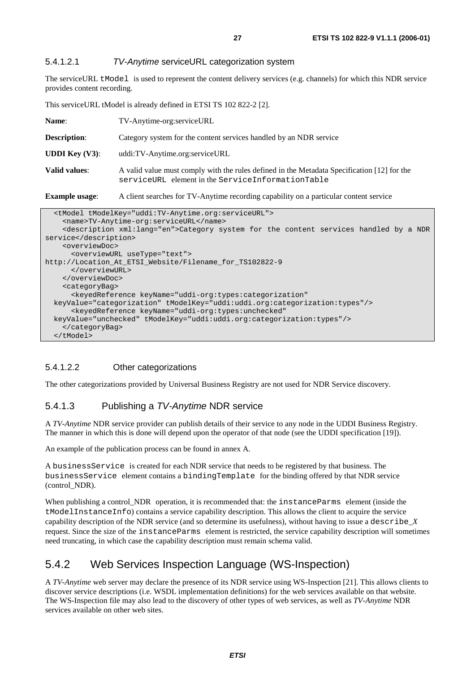#### 5.4.1.2.1 TV-Anytime serviceURL categorization system

The serviceURL tModel is used to represent the content delivery services (e.g. channels) for which this NDR service provides content recording.

This serviceURL tModel is already defined in ETSI TS 102 822-2 [2].

| <b>Example usage:</b>    | A client searches for TV-Anytime recording capability on a particular content service                                                            |  |
|--------------------------|--------------------------------------------------------------------------------------------------------------------------------------------------|--|
| Valid values:            | A valid value must comply with the rules defined in the Metadata Specification [12] for the<br>serviceURL element in the ServiceInformationTable |  |
| <b>UDDI</b> Key $(V3)$ : | uddi:TV-Anytime.org:serviceURL                                                                                                                   |  |
| <b>Description:</b>      | Category system for the content services handled by an NDR service                                                                               |  |
| Name:                    | TV-Anytime-org:serviceURL                                                                                                                        |  |

| <tmodel tmodelkey="uddi:TV-Anytime.org:serviceURL"></tmodel>                                       |
|----------------------------------------------------------------------------------------------------|
| <name>TV-Anytime-org:serviceURL</name>                                                             |
| <description xml:lang="en">Category system for the content services handled by a NDR</description> |
| service                                                                                            |
| <overviewdoc></overviewdoc>                                                                        |
| <overviewurl usetype="text"></overviewurl>                                                         |
| http://Location At ETSI Website/Filename for TS102822-9                                            |
|                                                                                                    |
|                                                                                                    |
| <categorybag></categorybag>                                                                        |
| <keyedreference <="" keyname="uddi-org:types:categorization" td=""></keyedreference>               |
| keyValue="categorization" tModelKey="uddi:uddi.org:categorization:types"/>                         |
| <keyedreference <="" keyname="uddi-org:types:unchecked" td=""></keyedreference>                    |
| keyValue="unchecked" tModelKey="uddi:uddi.org:categorization:types"/>                              |
|                                                                                                    |
| $\langle$ /tModel>                                                                                 |

#### 5.4.1.2.2 Other categorizations

The other categorizations provided by Universal Business Registry are not used for NDR Service discovery.

#### 5.4.1.3 Publishing a TV-Anytime NDR service

A *TV-Anytime* NDR service provider can publish details of their service to any node in the UDDI Business Registry. The manner in which this is done will depend upon the operator of that node (see the UDDI specification [19]).

An example of the publication process can be found in annex A.

A businessService is created for each NDR service that needs to be registered by that business. The businessService element contains a bindingTemplate for the binding offered by that NDR service (control\_NDR).

When publishing a control\_NDR operation, it is recommended that: the instanceParms element (inside the tModelInstanceInfo) contains a service capability description. This allows the client to acquire the service capability description of the NDR service (and so determine its usefulness), without having to issue a describe\_*X* request. Since the size of the instanceParms element is restricted, the service capability description will sometimes need truncating, in which case the capability description must remain schema valid.

#### 5.4.2 Web Services Inspection Language (WS-Inspection)

A *TV-Anytime* web server may declare the presence of its NDR service using WS-Inspection [21]. This allows clients to discover service descriptions (i.e. WSDL implementation definitions) for the web services available on that website. The WS-Inspection file may also lead to the discovery of other types of web services, as well as *TV-Anytime* NDR services available on other web sites.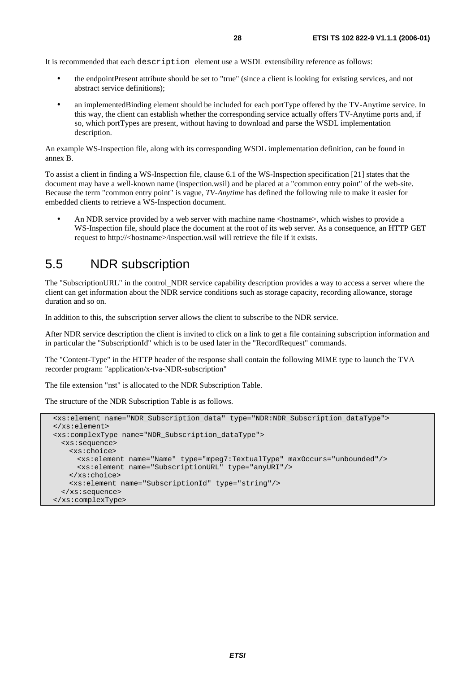It is recommended that each description element use a WSDL extensibility reference as follows:

- the endpointPresent attribute should be set to "true" (since a client is looking for existing services, and not abstract service definitions);
- an implementedBinding element should be included for each portType offered by the TV-Anytime service. In this way, the client can establish whether the corresponding service actually offers TV-Anytime ports and, if so, which portTypes are present, without having to download and parse the WSDL implementation description.

An example WS-Inspection file, along with its corresponding WSDL implementation definition, can be found in annex B.

To assist a client in finding a WS-Inspection file, clause 6.1 of the WS-Inspection specification [21] states that the document may have a well-known name (inspection.wsil) and be placed at a "common entry point" of the web-site. Because the term "common entry point" is vague, *TV-Anytime* has defined the following rule to make it easier for embedded clients to retrieve a WS-Inspection document.

• An NDR service provided by a web server with machine name <hostname>, which wishes to provide a WS*-*Inspection file, should place the document at the root of its web server. As a consequence, an HTTP GET request to http://<hostname>/inspection.wsil will retrieve the file if it exists.

#### 5.5 NDR subscription

The "SubscriptionURL" in the control\_NDR service capability description provides a way to access a server where the client can get information about the NDR service conditions such as storage capacity, recording allowance, storage duration and so on.

In addition to this, the subscription server allows the client to subscribe to the NDR service.

After NDR service description the client is invited to click on a link to get a file containing subscription information and in particular the "SubscriptionId" which is to be used later in the "RecordRequest" commands.

The "Content-Type" in the HTTP header of the response shall contain the following MIME type to launch the TVA recorder program: "application/x-tva-NDR-subscription"

The file extension "nst" is allocated to the NDR Subscription Table.

The structure of the NDR Subscription Table is as follows.

```
 <xs:element name="NDR_Subscription_data" type="NDR:NDR_Subscription_dataType"> 
 </xs:element> 
 <xs:complexType name="NDR_Subscription_dataType"> 
  <xs:sequence> 
    <xs:choice> 
      <xs:element name="Name" type="mpeg7:TextualType" maxOccurs="unbounded"/> 
      <xs:element name="SubscriptionURL" type="anyURI"/> 
    </xs:choice> 
     <xs:element name="SubscriptionId" type="string"/> 
  </xs:sequence> 
 </xs:complexType>
```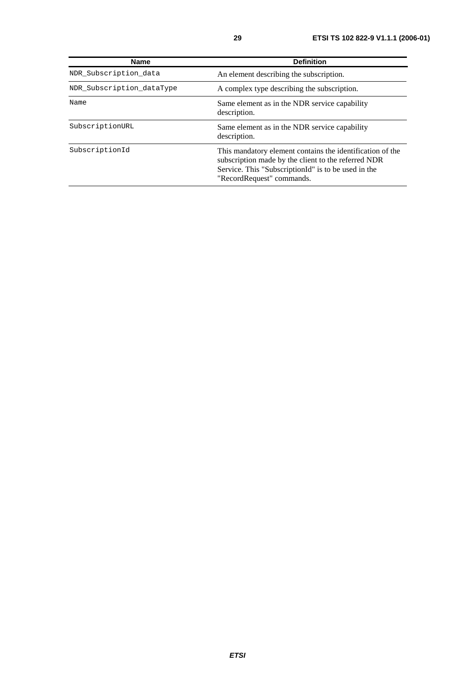| <b>Name</b>               | <b>Definition</b>                                                                                                                                                                                    |
|---------------------------|------------------------------------------------------------------------------------------------------------------------------------------------------------------------------------------------------|
| NDR Subscription data     | An element describing the subscription.                                                                                                                                                              |
| NDR Subscription dataType | A complex type describing the subscription.                                                                                                                                                          |
| Name                      | Same element as in the NDR service capability<br>description.                                                                                                                                        |
| SubscriptionURL           | Same element as in the NDR service capability<br>description.                                                                                                                                        |
| SubscriptionId            | This mandatory element contains the identification of the<br>subscription made by the client to the referred NDR<br>Service. This "SubscriptionId" is to be used in the<br>"RecordRequest" commands. |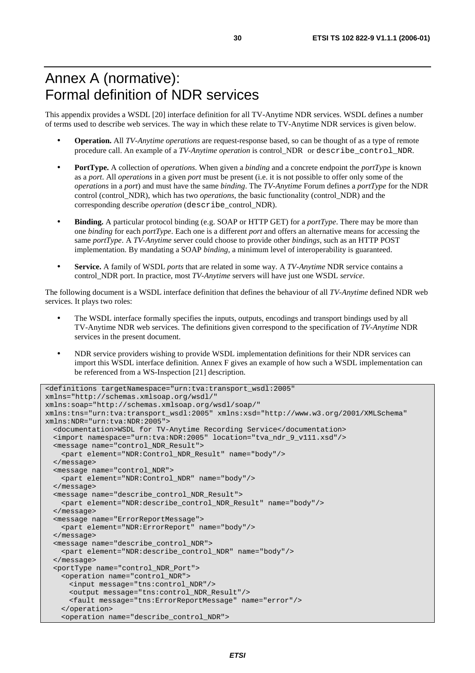### Annex A (normative): Formal definition of NDR services

This appendix provides a WSDL [20] interface definition for all TV-Anytime NDR services. WSDL defines a number of terms used to describe web services. The way in which these relate to TV-Anytime NDR services is given below.

- **Operation.** All *TV-Anytime operations* are request-response based, so can be thought of as a type of remote procedure call. An example of a *TV-Anytime operation* is control\_NDR or describe\_control\_NDR.
- **PortType.** A collection of *operations*. When given a *binding* and a concrete endpoint the *portType* is known as a *port*. All *operations* in a given *port* must be present (i.e. it is not possible to offer only some of the *operations* in a *port*) and must have the same *binding*. The *TV-Anytime* Forum defines a *portType* for the NDR control (control\_NDR), which has two *operations*, the basic functionality (control\_NDR) and the corresponding describe *operation* (describe\_control\_NDR).
- **Binding.** A particular protocol binding (e.g. SOAP or HTTP GET) for a *portType*. There may be more than one *binding* for each *portType*. Each one is a different *port* and offers an alternative means for accessing the same *portType*. A *TV-Anytime* server could choose to provide other *bindings*, such as an HTTP POST implementation. By mandating a SOAP *binding*, a minimum level of interoperability is guaranteed.
- **Service.** A family of WSDL *ports* that are related in some way. A *TV-Anytime* NDR service contains a control\_NDR port. In practice, most *TV-Anytime* servers will have just one WSDL *service*.

The following document is a WSDL interface definition that defines the behaviour of all *TV-Anytime* defined NDR web services. It plays two roles:

- The WSDL interface formally specifies the inputs, outputs, encodings and transport bindings used by all TV-Anytime NDR web services. The definitions given correspond to the specification of *TV-Anytime* NDR services in the present document.
- NDR service providers wishing to provide WSDL implementation definitions for their NDR services can import this WSDL interface definition. Annex F gives an example of how such a WSDL implementation can be referenced from a WS-Inspection [21] description.

```
<definitions targetNamespace="urn:tva:transport_wsdl:2005" 
xmlns="http://schemas.xmlsoap.org/wsdl/" 
xmlns:soap="http://schemas.xmlsoap.org/wsdl/soap/" 
xmlns:tns="urn:tva:transport_wsdl:2005" xmlns:xsd="http://www.w3.org/2001/XMLSchema" 
xmlns:NDR="urn:tva:NDR:2005"> 
   <documentation>WSDL for TV-Anytime Recording Service</documentation> 
   <import namespace="urn:tva:NDR:2005" location="tva_ndr_9_v111.xsd"/> 
   <message name="control_NDR_Result"> 
    <part element="NDR:Control_NDR_Result" name="body"/> 
   </message> 
   <message name="control_NDR"> 
    <part element="NDR:Control_NDR" name="body"/> 
   </message> 
   <message name="describe_control_NDR_Result"> 
    <part element="NDR:describe_control_NDR_Result" name="body"/> 
   </message> 
   <message name="ErrorReportMessage"> 
    <part element="NDR:ErrorReport" name="body"/> 
   </message> 
   <message name="describe_control_NDR"> 
     <part element="NDR:describe_control_NDR" name="body"/> 
   </message> 
   <portType name="control_NDR_Port"> 
     <operation name="control_NDR"> 
      <input message="tns:control_NDR"/> 
      <output message="tns:control_NDR_Result"/> 
       <fault message="tns:ErrorReportMessage" name="error"/> 
     </operation> 
     <operation name="describe_control_NDR">
```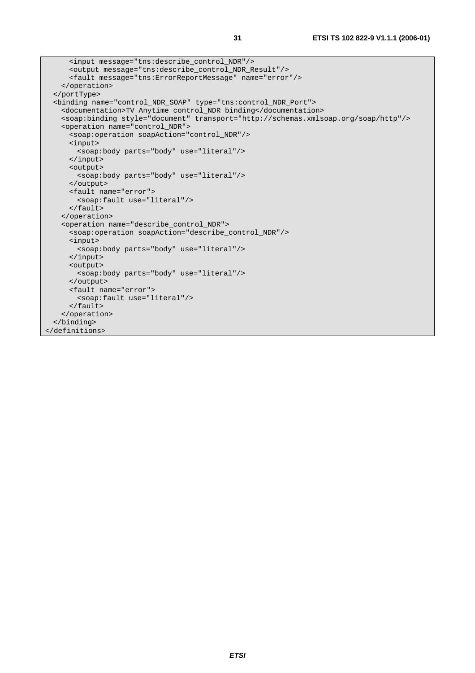```
 <input message="tns:describe_control_NDR"/> 
      <output message="tns:describe_control_NDR_Result"/> 
      <fault message="tns:ErrorReportMessage" name="error"/> 
    </operation> 
   </portType> 
   <binding name="control_NDR_SOAP" type="tns:control_NDR_Port"> 
    <documentation>TV Anytime control_NDR binding</documentation> 
    <soap:binding style="document" transport="http://schemas.xmlsoap.org/soap/http"/> 
    <operation name="control_NDR"> 
      <soap:operation soapAction="control_NDR"/> 
      <input> 
        <soap:body parts="body" use="literal"/> 
      </input> 
      <output> 
        <soap:body parts="body" use="literal"/> 
      </output> 
      <fault name="error"> 
        <soap:fault use="literal"/> 
      </fault> 
    </operation> 
    <operation name="describe_control_NDR"> 
       <soap:operation soapAction="describe_control_NDR"/> 
      <input> 
        <soap:body parts="body" use="literal"/> 
      </input> 
      <output> 
        <soap:body parts="body" use="literal"/> 
       </output> 
      <fault name="error"> 
        <soap:fault use="literal"/> 
      </fault> 
     </operation> 
   </binding> 
</definitions>
```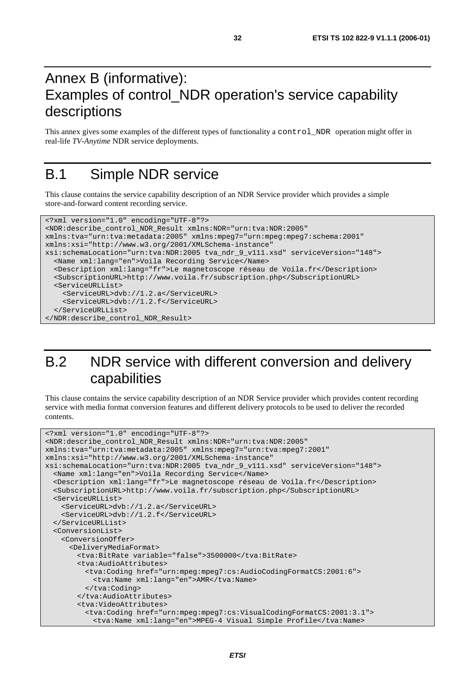### Annex B (informative): Examples of control\_NDR operation's service capability descriptions

This annex gives some examples of the different types of functionality a control\_NDR operation might offer in real*-*life *TV-Anytime* NDR service deployments.

### B.1 Simple NDR service

This clause contains the service capability description of an NDR Service provider which provides a simple store*-*and*-*forward content recording service.

```
<?xml version="1.0" encoding="UTF-8"?> 
<NDR:describe_control_NDR_Result xmlns:NDR="urn:tva:NDR:2005" 
xmlns:tva="urn:tva:metadata:2005" xmlns:mpeg7="urn:mpeg:mpeg7:schema:2001" 
xmlns:xsi="http://www.w3.org/2001/XMLSchema-instance" 
xsi:schemaLocation="urn:tva:NDR:2005 tva_ndr_9_v111.xsd" serviceVersion="148"> 
   <Name xml:lang="en">Voila Recording Service</Name> 
   <Description xml:lang="fr">Le magnetoscope réseau de Voila.fr</Description> 
   <SubscriptionURL>http://www.voila.fr/subscription.php</SubscriptionURL> 
   <ServiceURLList> 
     <ServiceURL>dvb://1.2.a</ServiceURL> 
     <ServiceURL>dvb://1.2.f</ServiceURL> 
   </ServiceURLList> 
</NDR:describe_control_NDR_Result>
```
### B.2 NDR service with different conversion and delivery capabilities

This clause contains the service capability description of an NDR Service provider which provides content recording service with media format conversion features and different delivery protocols to be used to deliver the recorded contents.

```
<?xml version="1.0" encoding="UTF-8"?> 
<NDR:describe_control_NDR_Result xmlns:NDR="urn:tva:NDR:2005" 
xmlns:tva="urn:tva:metadata:2005" xmlns:mpeg7="urn:tva:mpeg7:2001" 
xmlns:xsi="http://www.w3.org/2001/XMLSchema-instance" 
xsi:schemaLocation="urn:tva:NDR:2005 tva_ndr_9_v111.xsd" serviceVersion="148"> 
  <Name xml:lang="en">Voila Recording Service</Name> 
   <Description xml:lang="fr">Le magnetoscope réseau de Voila.fr</Description> 
  <SubscriptionURL>http://www.voila.fr/subscription.php</SubscriptionURL> 
   <ServiceURLList> 
    <ServiceURL>dvb://1.2.a</ServiceURL> 
    <ServiceURL>dvb://1.2.f</ServiceURL> 
   </ServiceURLList> 
   <ConversionList> 
    <ConversionOffer> 
       <DeliveryMediaFormat> 
         <tva:BitRate variable="false">3500000</tva:BitRate> 
        <tva:AudioAttributes> 
          <tva:Coding href="urn:mpeg:mpeg7:cs:AudioCodingFormatCS:2001:6"> 
            <tva:Name xml:lang="en">AMR</tva:Name> 
          </tva:Coding> 
        </tva:AudioAttributes> 
        <tva:VideoAttributes> 
          <tva:Coding href="urn:mpeg:mpeg7:cs:VisualCodingFormatCS:2001:3.1"> 
            <tva:Name xml:lang="en">MPEG-4 Visual Simple Profile</tva:Name>
```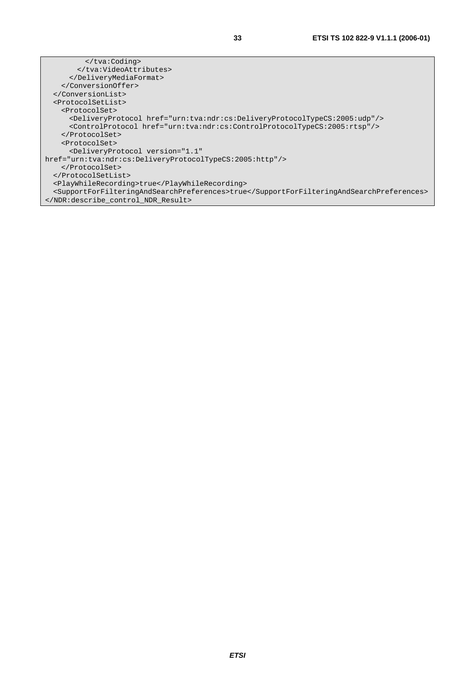</tva:Coding> </tva:VideoAttributes> </DeliveryMediaFormat> </ConversionOffer> </ConversionList> <ProtocolSetList> <ProtocolSet> <DeliveryProtocol href="urn:tva:ndr:cs:DeliveryProtocolTypeCS:2005:udp"/> <ControlProtocol href="urn:tva:ndr:cs:ControlProtocolTypeCS:2005:rtsp"/> </ProtocolSet> <ProtocolSet> <DeliveryProtocol version="1.1" href="urn:tva:ndr:cs:DeliveryProtocolTypeCS:2005:http"/> </ProtocolSet> </ProtocolSetList> <PlayWhileRecording>true</PlayWhileRecording> <SupportForFilteringAndSearchPreferences>true</SupportForFilteringAndSearchPreferences> </NDR:describe\_control\_NDR\_Result>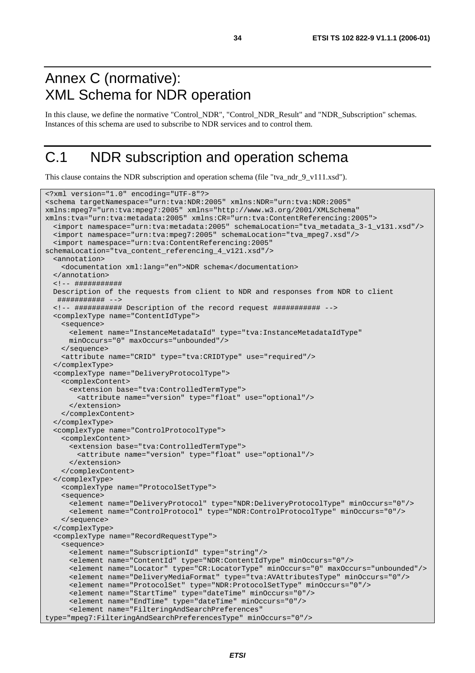### Annex C (normative): XML Schema for NDR operation

In this clause, we define the normative "Control\_NDR", "Control\_NDR\_Result" and "NDR\_Subscription" schemas. Instances of this schema are used to subscribe to NDR services and to control them.

### C.1 NDR subscription and operation schema

This clause contains the NDR subscription and operation schema (file "tva\_ndr\_9\_v111.xsd").

```
<?xml version="1.0" encoding="UTF-8"?> 
<schema targetNamespace="urn:tva:NDR:2005" xmlns:NDR="urn:tva:NDR:2005" 
xmlns:mpeg7="urn:tva:mpeg7:2005" xmlns="http://www.w3.org/2001/XMLSchema" 
xmlns:tva="urn:tva:metadata:2005" xmlns:CR="urn:tva:ContentReferencing:2005"> 
   <import namespace="urn:tva:metadata:2005" schemaLocation="tva_metadata_3-1_v131.xsd"/> 
   <import namespace="urn:tva:mpeg7:2005" schemaLocation="tva_mpeg7.xsd"/> 
   <import namespace="urn:tva:ContentReferencing:2005" 
schemaLocation="tva_content_referencing_4_v121.xsd"/> 
   <annotation> 
    <documentation xml:lang="en">NDR schema</documentation> 
   </annotation> 
   <!-- ########### 
  Description of the requests from client to NDR and responses from NDR to client 
    ########### --> 
   <!-- ########### Description of the record request ########### --> 
   <complexType name="ContentIdType"> 
    <sequence> 
      <element name="InstanceMetadataId" type="tva:InstanceMetadataIdType" 
      minOccurs="0" maxOccurs="unbounded"/> 
     </sequence> 
     <attribute name="CRID" type="tva:CRIDType" use="required"/> 
   </complexType> 
   <complexType name="DeliveryProtocolType"> 
    <complexContent> 
       <extension base="tva:ControlledTermType"> 
        <attribute name="version" type="float" use="optional"/> 
       </extension> 
    </complexContent> 
   </complexType> 
   <complexType name="ControlProtocolType"> 
     <complexContent> 
       <extension base="tva:ControlledTermType"> 
        <attribute name="version" type="float" use="optional"/> 
      </extension> 
     </complexContent> 
   </complexType> 
    <complexType name="ProtocolSetType"> 
    <sequence> 
      <element name="DeliveryProtocol" type="NDR:DeliveryProtocolType" minOccurs="0"/> 
       <element name="ControlProtocol" type="NDR:ControlProtocolType" minOccurs="0"/> 
     </sequence> 
   </complexType> 
   <complexType name="RecordRequestType"> 
     <sequence> 
      <element name="SubscriptionId" type="string"/> 
      <element name="ContentId" type="NDR:ContentIdType" minOccurs="0"/> 
       <element name="Locator" type="CR:LocatorType" minOccurs="0" maxOccurs="unbounded"/> 
      <element name="DeliveryMediaFormat" type="tva:AVAttributesType" minOccurs="0"/> 
       <element name="ProtocolSet" type="NDR:ProtocolSetType" minOccurs="0"/> 
       <element name="StartTime" type="dateTime" minOccurs="0"/> 
      <element name="EndTime" type="dateTime" minOccurs="0"/> 
       <element name="FilteringAndSearchPreferences" 
type="mpeg7:FilteringAndSearchPreferencesType" minOccurs="0"/>
```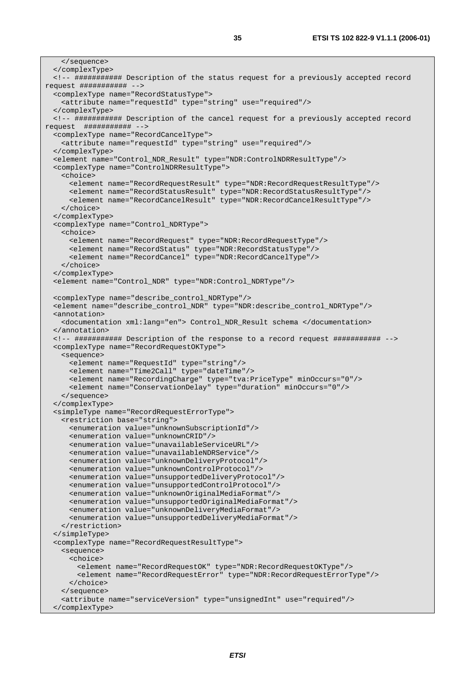```
 </sequence> 
   </complexType> 
   <!-- ########### Description of the status request for a previously accepted record 
request ########### --> 
   <complexType name="RecordStatusType"> 
     <attribute name="requestId" type="string" use="required"/> 
   </complexType> 
  <!-- ########### Description of the cancel request for a previously accepted record 
request ########### --> 
   <complexType name="RecordCancelType"> 
     <attribute name="requestId" type="string" use="required"/> 
   </complexType> 
   <element name="Control_NDR_Result" type="NDR:ControlNDRResultType"/> 
   <complexType name="ControlNDRResultType"> 
     <choice> 
 <element name="RecordRequestResult" type="NDR:RecordRequestResultType"/> 
 <element name="RecordStatusResult" type="NDR:RecordStatusResultType"/> 
       <element name="RecordCancelResult" type="NDR:RecordCancelResultType"/> 
     </choice> 
   </complexType> 
   <complexType name="Control_NDRType"> 
     <choice> 
       <element name="RecordRequest" type="NDR:RecordRequestType"/> 
       <element name="RecordStatus" type="NDR:RecordStatusType"/> 
      <element name="RecordCancel" type="NDR:RecordCancelType"/> 
     </choice> 
   </complexType> 
   <element name="Control_NDR" type="NDR:Control_NDRType"/> 
   <complexType name="describe_control_NDRType"/> 
   <element name="describe_control_NDR" type="NDR:describe_control_NDRType"/> 
   <annotation> 
     <documentation xml:lang="en"> Control_NDR_Result schema </documentation> 
   </annotation> 
   <!-- ########### Description of the response to a record request ########### --> 
   <complexType name="RecordRequestOKType"> 
     <sequence> 
       <element name="RequestId" type="string"/> 
       <element name="Time2Call" type="dateTime"/> 
       <element name="RecordingCharge" type="tva:PriceType" minOccurs="0"/> 
      <element name="ConservationDelay" type="duration" minOccurs="0"/> 
    </sequence> 
   </complexType> 
   <simpleType name="RecordRequestErrorType"> 
     <restriction base="string"> 
      <enumeration value="unknownSubscriptionId"/> 
      <enumeration value="unknownCRID"/> 
      <enumeration value="unavailableServiceURL"/> 
      <enumeration value="unavailableNDRService"/> 
      <enumeration value="unknownDeliveryProtocol"/> 
      <enumeration value="unknownControlProtocol"/> 
      <enumeration value="unsupportedDeliveryProtocol"/> 
      <enumeration value="unsupportedControlProtocol"/> 
      <enumeration value="unknownOriginalMediaFormat"/> 
       <enumeration value="unsupportedOriginalMediaFormat"/> 
      <enumeration value="unknownDeliveryMediaFormat"/> 
      <enumeration value="unsupportedDeliveryMediaFormat"/> 
     </restriction> 
   </simpleType> 
   <complexType name="RecordRequestResultType"> 
     <sequence> 
       <choice> 
         <element name="RecordRequestOK" type="NDR:RecordRequestOKType"/> 
         <element name="RecordRequestError" type="NDR:RecordRequestErrorType"/> 
       </choice> 
     </sequence> 
     <attribute name="serviceVersion" type="unsignedInt" use="required"/> 
   </complexType>
```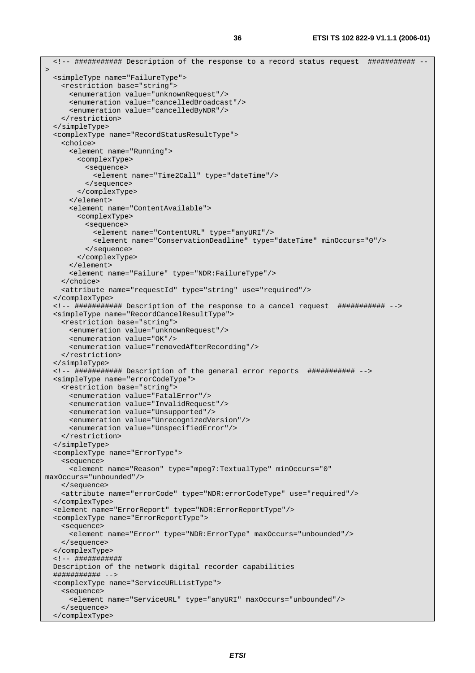```
 <!-- ########### Description of the response to a record status request ########### --
> <simpleType name="FailureType"> 
    <restriction base="string"> 
      <enumeration value="unknownRequest"/> 
       <enumeration value="cancelledBroadcast"/> 
      <enumeration value="cancelledByNDR"/> 
    </restriction> 
   </simpleType> 
  <complexType name="RecordStatusResultType"> 
     <choice> 
      <element name="Running"> 
        <complexType> 
          <sequence> 
             <element name="Time2Call" type="dateTime"/> 
           </sequence> 
        </complexType> 
      </element> 
       <element name="ContentAvailable"> 
        <complexType> 
          <sequence> 
             <element name="ContentURL" type="anyURI"/> 
             <element name="ConservationDeadline" type="dateTime" minOccurs="0"/> 
          </sequence> 
        </complexType> 
       </element> 
       <element name="Failure" type="NDR:FailureType"/> 
     </choice> 
    <attribute name="requestId" type="string" use="required"/> 
   </complexType> 
   <!-- ########### Description of the response to a cancel request ########### --> 
  <simpleType name="RecordCancelResultType"> 
    <restriction base="string"> 
      <enumeration value="unknownRequest"/> 
      <enumeration value="OK"/> 
      <enumeration value="removedAfterRecording"/> 
    </restriction> 
   </simpleType> 
   <!-- ########### Description of the general error reports ########### --> 
  <simpleType name="errorCodeType"> 
    <restriction base="string"> 
      <enumeration value="FatalError"/> 
      <enumeration value="InvalidRequest"/> 
       <enumeration value="Unsupported"/> 
      <enumeration value="UnrecognizedVersion"/> 
      <enumeration value="UnspecifiedError"/> 
    </restriction> 
   </simpleType> 
   <complexType name="ErrorType"> 
     <sequence> 
      <element name="Reason" type="mpeg7:TextualType" minOccurs="0" 
maxOccurs="unbounded"/> 
    </sequence> 
     <attribute name="errorCode" type="NDR:errorCodeType" use="required"/> 
   </complexType> 
   <element name="ErrorReport" type="NDR:ErrorReportType"/> 
  <complexType name="ErrorReportType"> 
    <sequence> 
      <element name="Error" type="NDR:ErrorType" maxOccurs="unbounded"/> 
    </sequence> 
   </complexType> 
  <!-- ########### 
  Description of the network digital recorder capabilities 
  ########### --> 
  <complexType name="ServiceURLListType"> 
     <sequence> 
      <element name="ServiceURL" type="anyURI" maxOccurs="unbounded"/> 
    </sequence> 
   </complexType>
```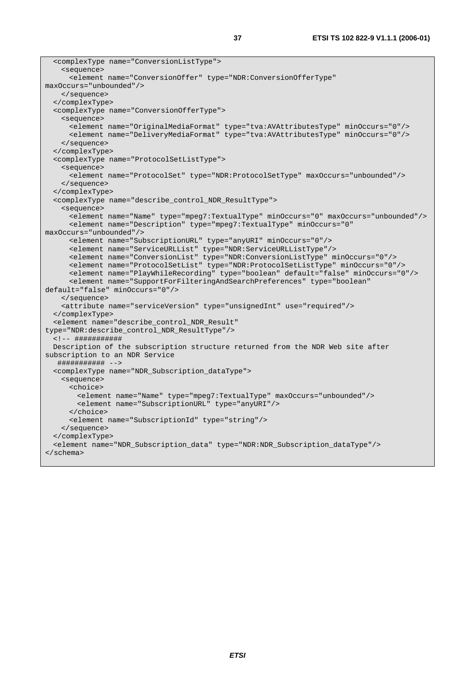```
 <complexType name="ConversionListType"> 
     <sequence> 
      <element name="ConversionOffer" type="NDR:ConversionOfferType" 
maxOccurs="unbounded"/> 
    </sequence> 
   </complexType> 
   <complexType name="ConversionOfferType"> 
    <sequence> 
      <element name="OriginalMediaFormat" type="tva:AVAttributesType" minOccurs="0"/> 
      <element name="DeliveryMediaFormat" type="tva:AVAttributesType" minOccurs="0"/> 
     </sequence> 
   </complexType> 
   <complexType name="ProtocolSetListType"> 
     <sequence> 
      <element name="ProtocolSet" type="NDR:ProtocolSetType" maxOccurs="unbounded"/> 
     </sequence> 
   </complexType> 
   <complexType name="describe_control_NDR_ResultType"> 
     <sequence> 
      <element name="Name" type="mpeg7:TextualType" minOccurs="0" maxOccurs="unbounded"/> 
      <element name="Description" type="mpeg7:TextualType" minOccurs="0" 
maxOccurs="unbounded"/> 
      <element name="SubscriptionURL" type="anyURI" minOccurs="0"/> 
      <element name="ServiceURLList" type="NDR:ServiceURLListType"/> 
      <element name="ConversionList" type="NDR:ConversionListType" minOccurs="0"/> 
      <element name="ProtocolSetList" type="NDR:ProtocolSetListType" minOccurs="0"/> 
      <element name="PlayWhileRecording" type="boolean" default="false" minOccurs="0"/> 
      <element name="SupportForFilteringAndSearchPreferences" type="boolean" 
default="false" minOccurs="0"/> 
     </sequence> 
     <attribute name="serviceVersion" type="unsignedInt" use="required"/> 
   </complexType> 
   <element name="describe_control_NDR_Result" 
type="NDR:describe_control_NDR_ResultType"/> 
  <!-- ########### 
  Description of the subscription structure returned from the NDR Web site after 
subscription to an NDR Service 
   ########### --> 
   <complexType name="NDR_Subscription_dataType"> 
    <sequence> 
      <choice> 
        <element name="Name" type="mpeg7:TextualType" maxOccurs="unbounded"/> 
         <element name="SubscriptionURL" type="anyURI"/> 
      </choice> 
      <element name="SubscriptionId" type="string"/> 
    </sequence> 
   </complexType> 
   <element name="NDR_Subscription_data" type="NDR:NDR_Subscription_dataType"/> 
</schema>
```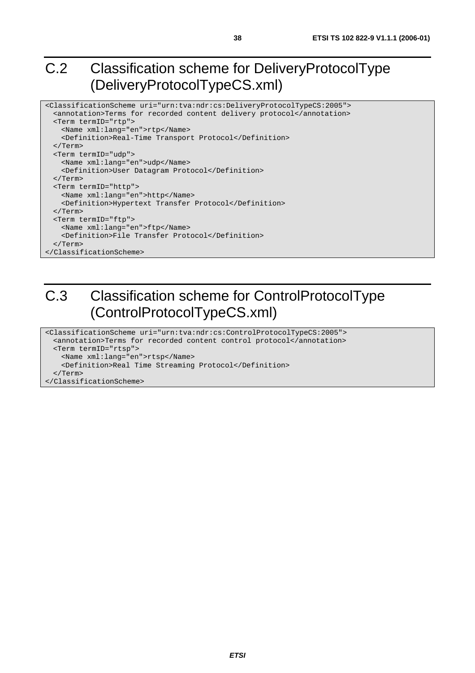### C.2 Classification scheme for DeliveryProtocolType (DeliveryProtocolTypeCS.xml)

```
<ClassificationScheme uri="urn:tva:ndr:cs:DeliveryProtocolTypeCS:2005"> 
  <annotation>Terms for recorded content delivery protocol</annotation> 
  <Term termID="rtp"> 
    <Name xml:lang="en">rtp</Name> 
    <Definition>Real-Time Transport Protocol</Definition> 
  </Term> 
  <Term termID="udp"> 
    <Name xml:lang="en">udp</Name> 
    <Definition>User Datagram Protocol</Definition> 
  </Term> 
  <Term termID="http"> 
    <Name xml:lang="en">http</Name> 
    <Definition>Hypertext Transfer Protocol</Definition> 
  </Term> 
  <Term termID="ftp"> 
    <Name xml:lang="en">ftp</Name> 
    <Definition>File Transfer Protocol</Definition> 
  </Term> 
</ClassificationScheme>
```
# C.3 Classification scheme for ControlProtocolType (ControlProtocolTypeCS.xml)

<ClassificationScheme uri="urn:tva:ndr:cs:ControlProtocolTypeCS:2005"> <annotation>Terms for recorded content control protocol</annotation> <Term termID="rtsp"> <Name xml:lang="en">rtsp</Name> <Definition>Real Time Streaming Protocol</Definition> </Term> </ClassificationScheme>

**ETSI**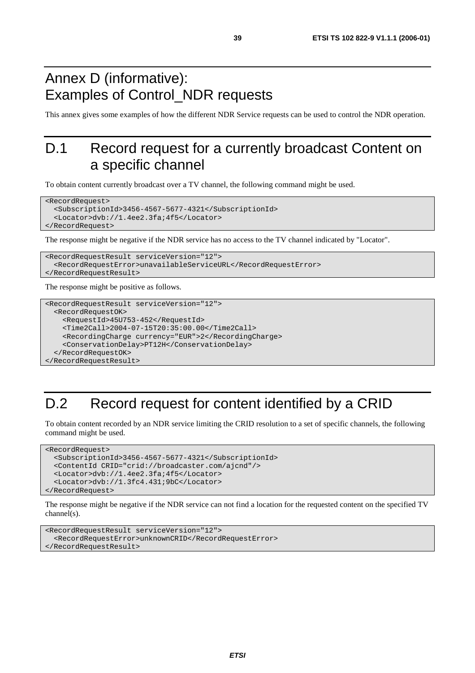### Annex D (informative): Examples of Control\_NDR requests

This annex gives some examples of how the different NDR Service requests can be used to control the NDR operation.

### D.1 Record request for a currently broadcast Content on a specific channel

To obtain content currently broadcast over a TV channel, the following command might be used.

```
<RecordRequest> 
   <SubscriptionId>3456-4567-5677-4321</SubscriptionId> 
   <Locator>dvb://1.4ee2.3fa;4f5</Locator> 
</RecordRequest>
```
The response might be negative if the NDR service has no access to the TV channel indicated by "Locator".

```
<RecordRequestResult serviceVersion="12"> 
   <RecordRequestError>unavailableServiceURL</RecordRequestError> 
</RecordRequestResult>
```
The response might be positive as follows.

```
<RecordRequestResult serviceVersion="12"> 
  <RecordRequestOK> 
     <RequestId>45U753-452</RequestId> 
     <Time2Call>2004-07-15T20:35:00.00</Time2Call> 
     <RecordingCharge currency="EUR">2</RecordingCharge> 
     <ConservationDelay>PT12H</ConservationDelay> 
   </RecordRequestOK> 
</RecordRequestResult>
```
### D.2 Record request for content identified by a CRID

To obtain content recorded by an NDR service limiting the CRID resolution to a set of specific channels, the following command might be used.

```
<RecordRequest> 
   <SubscriptionId>3456-4567-5677-4321</SubscriptionId> 
   <ContentId CRID="crid://broadcaster.com/ajcnd"/> 
   <Locator>dvb://1.4ee2.3fa;4f5</Locator> 
   <Locator>dvb://1.3fc4.431;9bC</Locator> 
</RecordRequest>
```
The response might be negative if the NDR service can not find a location for the requested content on the specified TV channel(s).

```
<RecordRequestResult serviceVersion="12"> 
   <RecordRequestError>unknownCRID</RecordRequestError> 
</RecordRequestResult>
```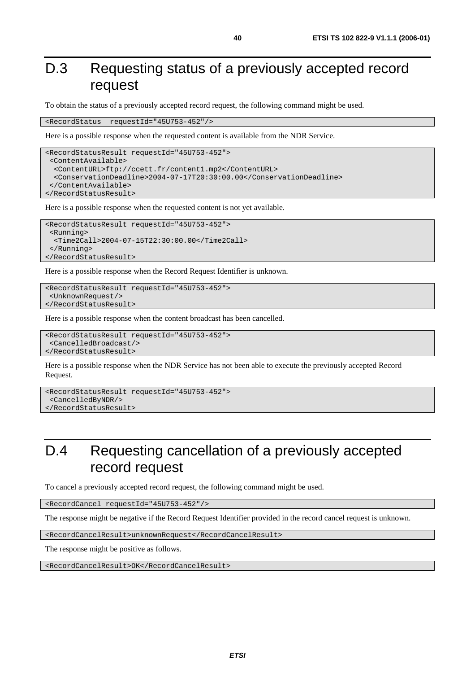### D.3 Requesting status of a previously accepted record request

To obtain the status of a previously accepted record request, the following command might be used.

<RecordStatus requestId="45U753-452"/>

Here is a possible response when the requested content is available from the NDR Service.

```
<RecordStatusResult requestId="45U753-452"> 
  <ContentAvailable> 
   <ContentURL>ftp://ccett.fr/content1.mp2</ContentURL> 
   <ConservationDeadline>2004-07-17T20:30:00.00</ConservationDeadline> 
  </ContentAvailable> 
</RecordStatusResult>
```
Here is a possible response when the requested content is not yet available.

```
<RecordStatusResult requestId="45U753-452"> 
  <Running> 
   <Time2Call>2004-07-15T22:30:00.00</Time2Call> 
  </Running> 
</RecordStatusResult>
```
Here is a possible response when the Record Request Identifier is unknown.

```
<RecordStatusResult requestId="45U753-452"> 
  <UnknownRequest/> 
</RecordStatusResult>
```
Here is a possible response when the content broadcast has been cancelled.

```
<RecordStatusResult requestId="45U753-452"> 
  <CancelledBroadcast/> 
</RecordStatusResult>
```
Here is a possible response when the NDR Service has not been able to execute the previously accepted Record Request.

```
<RecordStatusResult requestId="45U753-452"> 
  <CancelledByNDR/> 
</RecordStatusResult>
```
### D.4 Requesting cancellation of a previously accepted record request

To cancel a previously accepted record request, the following command might be used.

<RecordCancel requestId="45U753-452"/>

The response might be negative if the Record Request Identifier provided in the record cancel request is unknown.

<RecordCancelResult>unknownRequest</RecordCancelResult>

The response might be positive as follows.

<RecordCancelResult>OK</RecordCancelResult>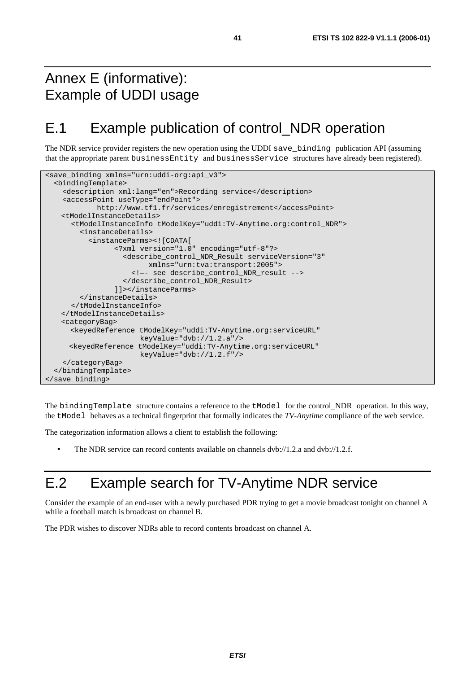### Annex E (informative): Example of UDDI usage

### E.1 Example publication of control\_NDR operation

The NDR service provider registers the new operation using the UDDI save\_binding publication API (assuming that the appropriate parent businessEntity and businessService structures have already been registered).

```
<save_binding xmlns="urn:uddi-org:api_v3"> 
   <bindingTemplate> 
     <description xml:lang="en">Recording service</description> 
     <accessPoint useType="endPoint"> 
             http://www.tf1.fr/services/enregistrement</accessPoint> 
    <tModelInstanceDetails> 
       <tModelInstanceInfo tModelKey="uddi:TV-Anytime.org:control_NDR"> 
         <instanceDetails> 
           <instanceParms><![CDATA[ 
                  <?xml version="1.0" encoding="utf-8"?> 
                    <describe_control_NDR_Result serviceVersion="3" 
                          xmlns="urn:tva:transport:2005"> 
                      <!—- see describe_control_NDR_result --> 
                    </describe_control_NDR_Result> 
                  ]]></instanceParms> 
         </instanceDetails> 
       </tModelInstanceInfo> 
    </tModelInstanceDetails> 
    <categoryBag> 
       <keyedReference tModelKey="uddi:TV-Anytime.org:serviceURL" 
                        keyValue="dvb://1.2.a"/> 
       <keyedReference tModelKey="uddi:TV-Anytime.org:serviceURL" 
                        keyValue="dvb://1.2.f"/> 
     </categoryBag> 
   </bindingTemplate> 
</save_binding>
```
The bindingTemplate structure contains a reference to the tModel for the control\_NDR operation. In this way, the tModel behaves as a technical fingerprint that formally indicates the *TV-Anytime* compliance of the web service.

The categorization information allows a client to establish the following:

• The NDR service can record contents available on channels dvb://1.2.a and dvb://1.2.f.

### E.2 Example search for TV-Anytime NDR service

Consider the example of an end-user with a newly purchased PDR trying to get a movie broadcast tonight on channel A while a football match is broadcast on channel B.

The PDR wishes to discover NDRs able to record contents broadcast on channel A.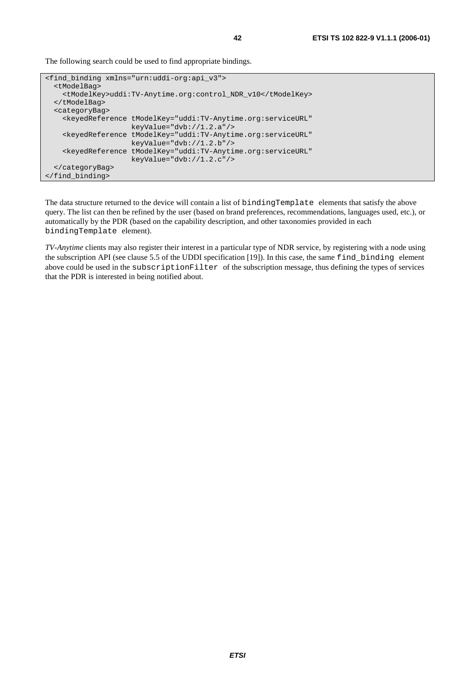The following search could be used to find appropriate bindings.

```
<find_binding xmlns="urn:uddi-org:api_v3"> 
   <tModelBag> 
     <tModelKey>uddi:TV-Anytime.org:control_NDR_v10</tModelKey> 
   </tModelBag> 
   <categoryBag> 
     <keyedReference tModelKey="uddi:TV-Anytime.org:serviceURL" 
                      keyValue="dvb://1.2.a"/> 
     <keyedReference tModelKey="uddi:TV-Anytime.org:serviceURL" 
                      keyValue="dvb://1.2.b"/> 
     <keyedReference tModelKey="uddi:TV-Anytime.org:serviceURL" 
                      keyValue="dvb://1.2.c"/> 
   </categoryBag> 
</find_binding>
```
The data structure returned to the device will contain a list of bindingTemplate elements that satisfy the above query. The list can then be refined by the user (based on brand preferences, recommendations, languages used, etc.), or automatically by the PDR (based on the capability description, and other taxonomies provided in each bindingTemplate element).

*TV-Anytime* clients may also register their interest in a particular type of NDR service, by registering with a node using the subscription API (see clause 5.5 of the UDDI specification [19]). In this case, the same find\_binding element above could be used in the subscriptionFilter of the subscription message, thus defining the types of services that the PDR is interested in being notified about.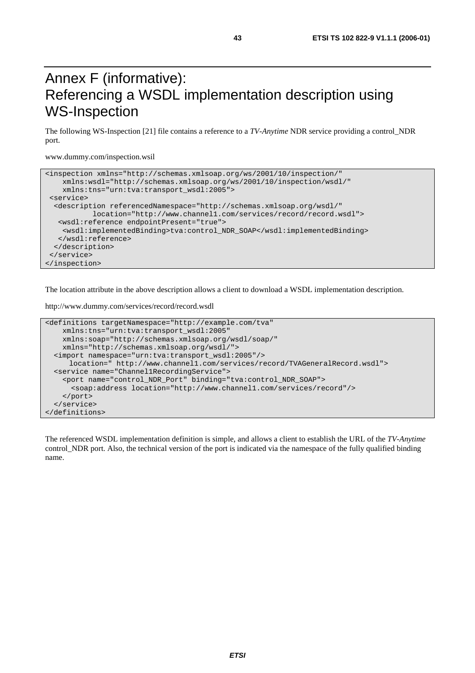### Annex F (informative): Referencing a WSDL implementation description using WS-Inspection

The following WS-Inspection [21] file contains a reference to a *TV-Anytime* NDR service providing a control\_NDR port.

www.dummy.com/inspection.wsil

```
<inspection xmlns="http://schemas.xmlsoap.org/ws/2001/10/inspection/" 
     xmlns:wsdl="http://schemas.xmlsoap.org/ws/2001/10/inspection/wsdl/" 
     xmlns:tns="urn:tva:transport_wsdl:2005"> 
  <service> 
   <description referencedNamespace="http://schemas.xmlsoap.org/wsdl/" 
            location="http://www.channel1.com/services/record/record.wsdl"> 
   <wsdl:reference endpointPresent="true"> 
     <wsdl:implementedBinding>tva:control_NDR_SOAP</wsdl:implementedBinding> 
   </wsdl:reference> 
  </description> 
  </service> 
</inspection>
```
The location attribute in the above description allows a client to download a WSDL implementation description.

http://www.dummy.com/services/record/record.wsdl

```
<definitions targetNamespace="http://example.com/tva" 
    xmlns:tns="urn:tva:transport_wsdl:2005" 
    xmlns:soap="http://schemas.xmlsoap.org/wsdl/soap/" 
    xmlns="http://schemas.xmlsoap.org/wsdl/"> 
   <import namespace="urn:tva:transport_wsdl:2005"/> 
      location=" http://www.channel1.com/services/record/TVAGeneralRecord.wsdl"> 
   <service name="Channel1RecordingService"> 
     <port name="control_NDR_Port" binding="tva:control_NDR_SOAP"> 
       <soap:address location="http://www.channel1.com/services/record"/> 
    </port> 
   </service> 
</definitions>
```
The referenced WSDL implementation definition is simple, and allows a client to establish the URL of the *TV-Anytime* control NDR port. Also, the technical version of the port is indicated via the namespace of the fully qualified binding name.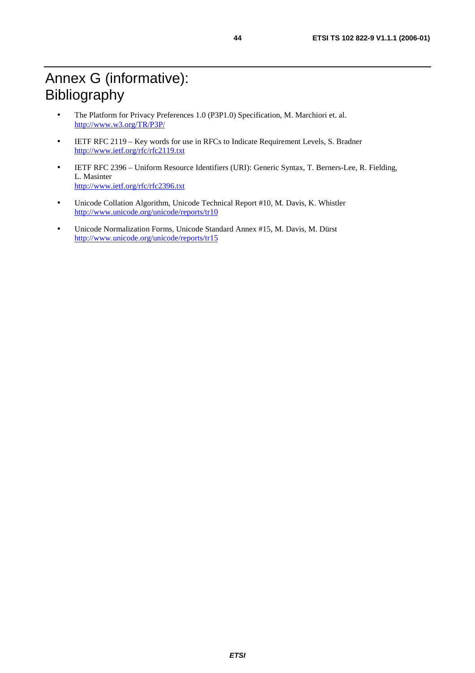- The Platform for Privacy Preferences 1.0 (P3P1.0) Specification, M. Marchiori et. al. <http://www.w3.org/TR/P3P/>
- IETF RFC 2119 Key words for use in RFCs to Indicate Requirement Levels, S. Bradner <http://www.ietf.org/rfc/rfc2119.txt>
- IETF RFC 2396 Uniform Resource Identifiers (URI): Generic Syntax, T. Berners-Lee, R. Fielding, L. Masinter <http://www.ietf.org/rfc/rfc2396.txt>
- Unicode Collation Algorithm, Unicode Technical Report #10, M. Davis, K. Whistler <http://www.unicode.org/unicode/reports/tr10>
- Unicode Normalization Forms, Unicode Standard Annex #15, M. Davis, M. Dürst <http://www.unicode.org/unicode/reports/tr15>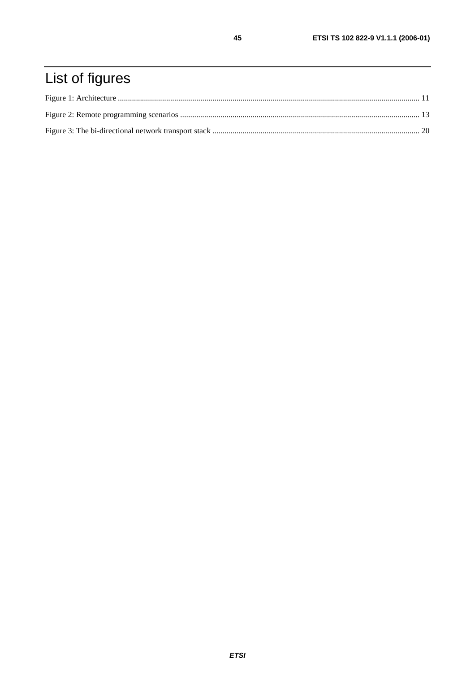# List of figures